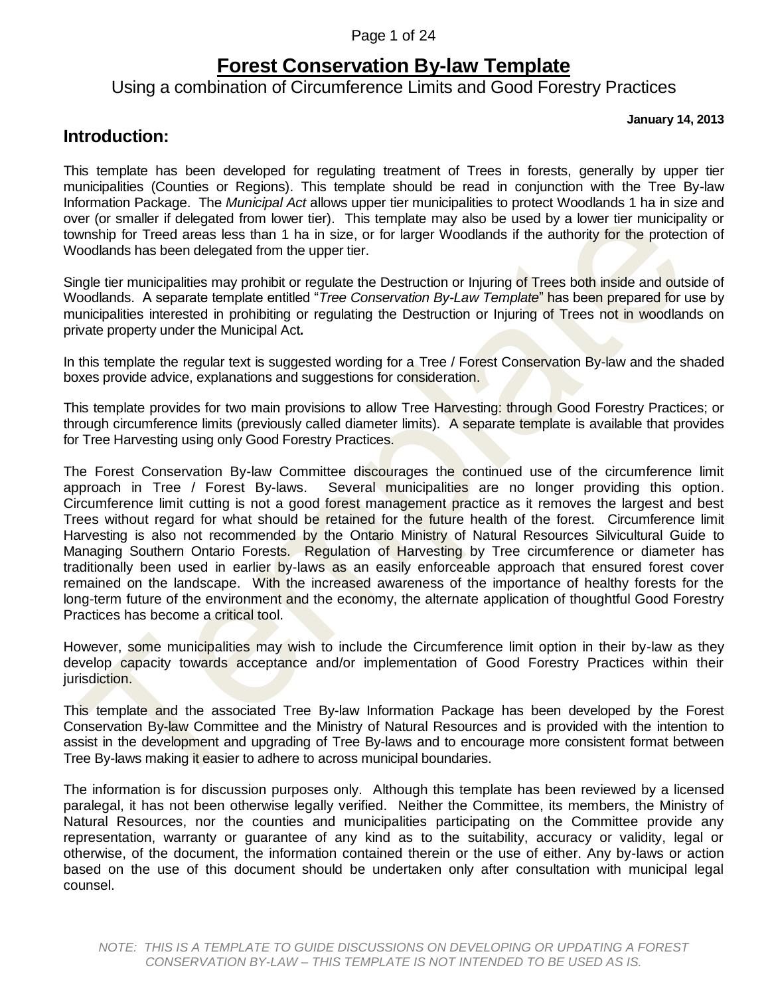Page 1 of 24

### **Forest Conservation By-law Template**

### Using a combination of Circumference Limits and Good Forestry Practices

**January 14, 2013**

### **Introduction:**

This template has been developed for regulating treatment of Trees in forests, generally by upper tier municipalities (Counties or Regions). This template should be read in conjunction with the Tree By-law Information Package. The *Municipal Act* allows upper tier municipalities to protect Woodlands 1 ha in size and over (or smaller if delegated from lower tier). This template may also be used by a lower tier municipality or township for Treed areas less than 1 ha in size, or for larger Woodlands if the authority for the protection of Woodlands has been delegated from the upper tier.

Single tier municipalities may prohibit or regulate the Destruction or Injuring of Trees both inside and outside of Woodlands. A separate template entitled "*Tree Conservation By-Law Template*" has been prepared for use by municipalities interested in prohibiting or regulating the Destruction or Injuring of Trees not in woodlands on private property under the Municipal Act*.*

In this template the regular text is suggested wording for a Tree / Forest Conservation By-law and the shaded boxes provide advice, explanations and suggestions for consideration.

This template provides for two main provisions to allow Tree Harvesting: through Good Forestry Practices; or through circumference limits (previously called diameter limits). A separate template is available that provides for Tree Harvesting using only Good Forestry Practices.

The Forest Conservation By-law Committee discourages the continued use of the circumference limit approach in Tree / Forest By-laws. Several municipalities are no longer providing this option. Circumference limit cutting is not a good forest management practice as it removes the largest and best Trees without regard for what should be retained for the future health of the forest. Circumference limit Harvesting is also not recommended by the Ontario Ministry of Natural Resources Silvicultural Guide to Managing Southern Ontario Forests. Regulation of Harvesting by Tree circumference or diameter has traditionally been used in earlier by-laws as an easily enforceable approach that ensured forest cover remained on the landscape. With the increased awareness of the importance of healthy forests for the long-term future of the environment and the economy, the alternate application of thoughtful Good Forestry Practices has become a critical tool.

However, some municipalities may wish to include the Circumference limit option in their by-law as they develop capacity towards acceptance and/or implementation of Good Forestry Practices within their jurisdiction.

This template and the associated Tree By-law Information Package has been developed by the Forest Conservation By-law Committee and the Ministry of Natural Resources and is provided with the intention to assist in the development and upgrading of Tree By-laws and to encourage more consistent format between Tree By-laws making it easier to adhere to across municipal boundaries.

The information is for discussion purposes only. Although this template has been reviewed by a licensed paralegal, it has not been otherwise legally verified. Neither the Committee, its members, the Ministry of Natural Resources, nor the counties and municipalities participating on the Committee provide any representation, warranty or guarantee of any kind as to the suitability, accuracy or validity, legal or otherwise, of the document, the information contained therein or the use of either. Any by-laws or action based on the use of this document should be undertaken only after consultation with municipal legal counsel.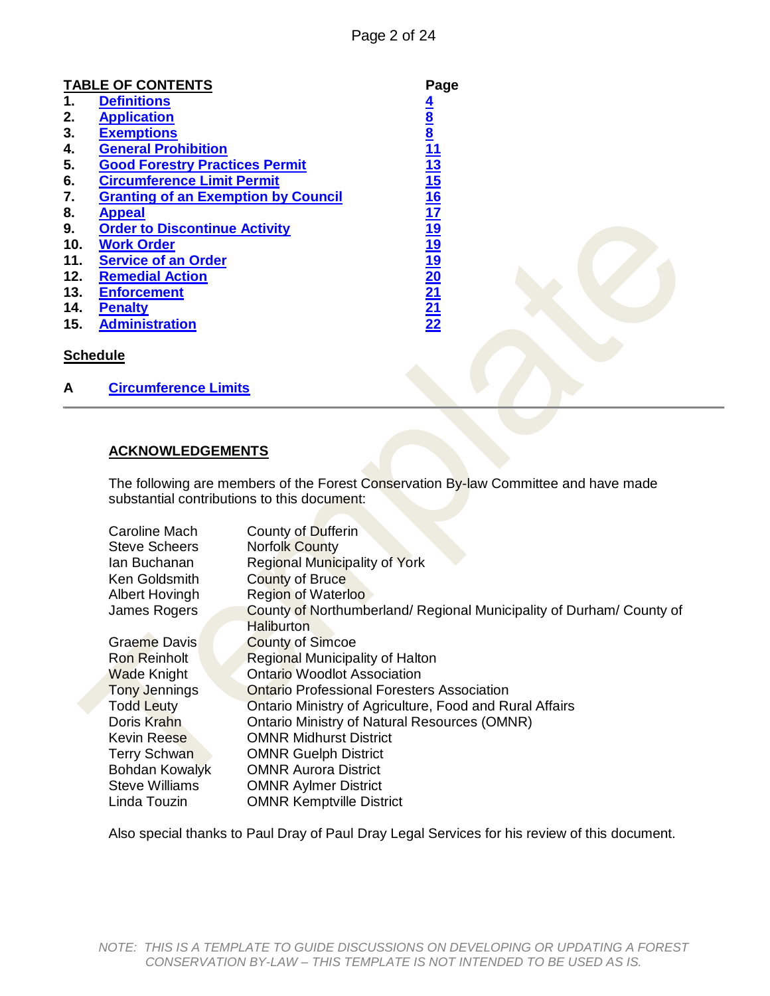|     | <b>TABLE OF CONTENTS</b>                   | Page                                           |  |
|-----|--------------------------------------------|------------------------------------------------|--|
| 1.  | <b>Definitions</b>                         |                                                |  |
| 2.  | <b>Application</b>                         |                                                |  |
| 3.  | <b>Exemptions</b>                          |                                                |  |
| 4.  | <b>General Prohibition</b>                 |                                                |  |
| 5.  | <b>Good Forestry Practices Permit</b>      |                                                |  |
| 6.  | <b>Circumference Limit Permit</b>          |                                                |  |
| 7.  | <b>Granting of an Exemption by Council</b> |                                                |  |
| 8.  | <b>Appeal</b>                              |                                                |  |
| 9.  | <b>Order to Discontinue Activity</b>       |                                                |  |
| 10. | <b>Work Order</b>                          |                                                |  |
| 11. | <b>Service of an Order</b>                 |                                                |  |
| 12. | <b>Remedial Action</b>                     |                                                |  |
| 13. | <b>Enforcement</b>                         |                                                |  |
| 14. | <b>Penalty</b>                             |                                                |  |
| 15. | <b>Administration</b>                      | <u>4 8 8 11 13 15 16 17 19 19 20 21 21 22 </u> |  |
|     | <b>Schedule</b>                            |                                                |  |
| A   | <b>Circumference Limits</b>                |                                                |  |

#### **ACKNOWLEDGEMENTS**

The following are members of the Forest Conservation By-law Committee and have made substantial contributions to this document:

| Caroline Mach         | County of Dufferin                                                   |  |  |  |
|-----------------------|----------------------------------------------------------------------|--|--|--|
| <b>Steve Scheers</b>  | <b>Norfolk County</b>                                                |  |  |  |
| lan Buchanan          | <b>Regional Municipality of York</b>                                 |  |  |  |
| Ken Goldsmith         | <b>County of Bruce</b>                                               |  |  |  |
| Albert Hovingh        | <b>Region of Waterloo</b>                                            |  |  |  |
| James Rogers          | County of Northumberland/ Regional Municipality of Durham/ County of |  |  |  |
|                       | <b>Haliburton</b>                                                    |  |  |  |
| Graeme Davis          | <b>County of Simcoe</b>                                              |  |  |  |
| Ron Reinholt          | Regional Municipality of Halton                                      |  |  |  |
| <b>Wade Knight</b>    | <b>Ontario Woodlot Association</b>                                   |  |  |  |
| <b>Tony Jennings</b>  | <b>Ontario Professional Foresters Association</b>                    |  |  |  |
| <b>Todd Leuty</b>     | Ontario Ministry of Agriculture, Food and Rural Affairs              |  |  |  |
| Doris Krahn           | <b>Ontario Ministry of Natural Resources (OMNR)</b>                  |  |  |  |
| <b>Kevin Reese</b>    | <b>OMNR Midhurst District</b>                                        |  |  |  |
| <b>Terry Schwan</b>   | <b>OMNR Guelph District</b>                                          |  |  |  |
| <b>Bohdan Kowalyk</b> | <b>OMNR Aurora District</b>                                          |  |  |  |
| <b>Steve Williams</b> | <b>OMNR Aylmer District</b>                                          |  |  |  |
| Linda Touzin          | <b>OMNR Kemptville District</b>                                      |  |  |  |

Also special thanks to Paul Dray of Paul Dray Legal Services for his review of this document.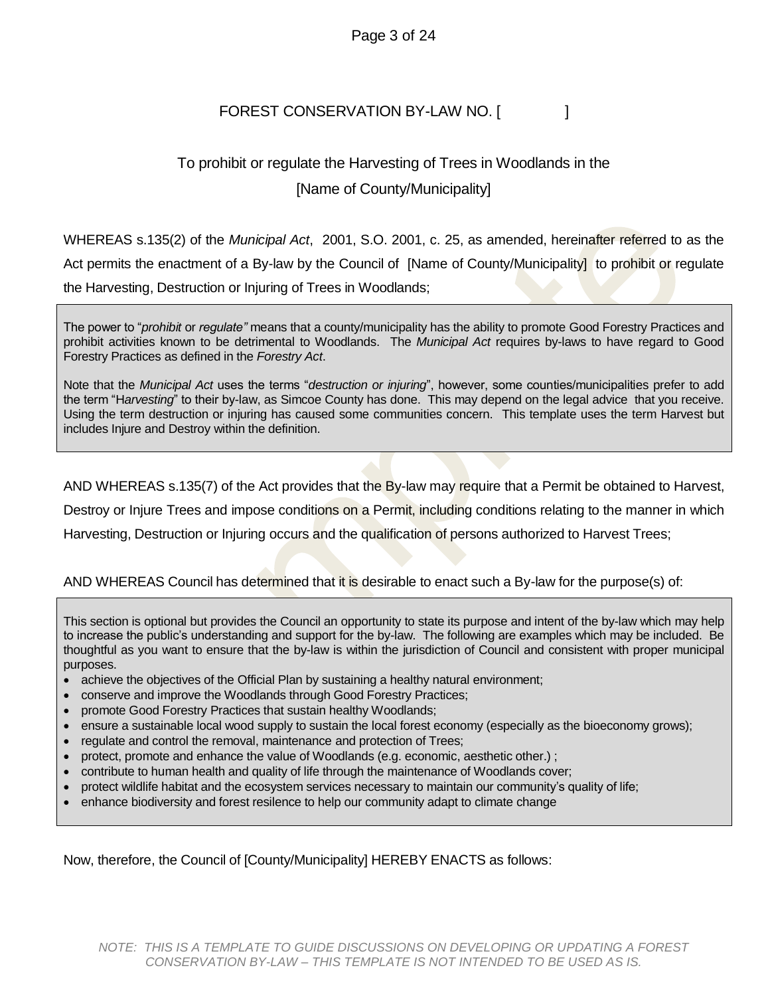#### Page 3 of 24

#### FOREST CONSERVATION BY-LAW NO. [

### To prohibit or regulate the Harvesting of Trees in Woodlands in the [Name of County/Municipality]

WHEREAS s.135(2) of the *Municipal Act*, 2001, S.O. 2001, c. 25, as amended, hereinafter referred to as the Act permits the enactment of a By-law by the Council of [Name of County/Municipality] to prohibit or regulate the Harvesting, Destruction or Injuring of Trees in Woodlands;

The power to "*prohibit* or *regulate"* means that a county/municipality has the ability to promote Good Forestry Practices and prohibit activities known to be detrimental to Woodlands. The *Municipal Act* requires by-laws to have regard to Good Forestry Practices as defined in the *Forestry Act*.

Note that the *Municipal Act* uses the terms "*destruction or injuring*", however, some counties/municipalities prefer to add the term "H*arvesting*" to their by-law, as Simcoe County has done. This may depend on the legal advice that you receive. Using the term destruction or injuring has caused some communities concern. This template uses the term Harvest but includes Injure and Destroy within the definition.

AND WHEREAS s.135(7) of the Act provides that the By-law may require that a Permit be obtained to Harvest,

Destroy or Injure Trees and impose conditions on a Permit, including conditions relating to the manner in which

Harvesting, Destruction or Injuring occurs and the qualification of persons authorized to Harvest Trees;

#### AND WHEREAS Council has determined that it is desirable to enact such a By-law for the purpose(s) of:

This section is optional but provides the Council an opportunity to state its purpose and intent of the by-law which may help to increase the public's understanding and support for the by-law. The following are examples which may be included. Be thoughtful as you want to ensure that the by-law is within the jurisdiction of Council and consistent with proper municipal purposes.

- achieve the objectives of the Official Plan by sustaining a healthy natural environment;
- conserve and improve the Woodlands through Good Forestry Practices;
- promote Good Forestry Practices that sustain healthy Woodlands;
- ensure a sustainable local wood supply to sustain the local forest economy (especially as the bioeconomy grows);
- regulate and control the removal, maintenance and protection of Trees;
- protect, promote and enhance the value of Woodlands (e.g. economic, aesthetic other.) ;
- contribute to human health and quality of life through the maintenance of Woodlands cover;
- protect wildlife habitat and the ecosystem services necessary to maintain our community's quality of life;
- enhance biodiversity and forest resilence to help our community adapt to climate change

Now, therefore, the Council of [County/Municipality] HEREBY ENACTS as follows: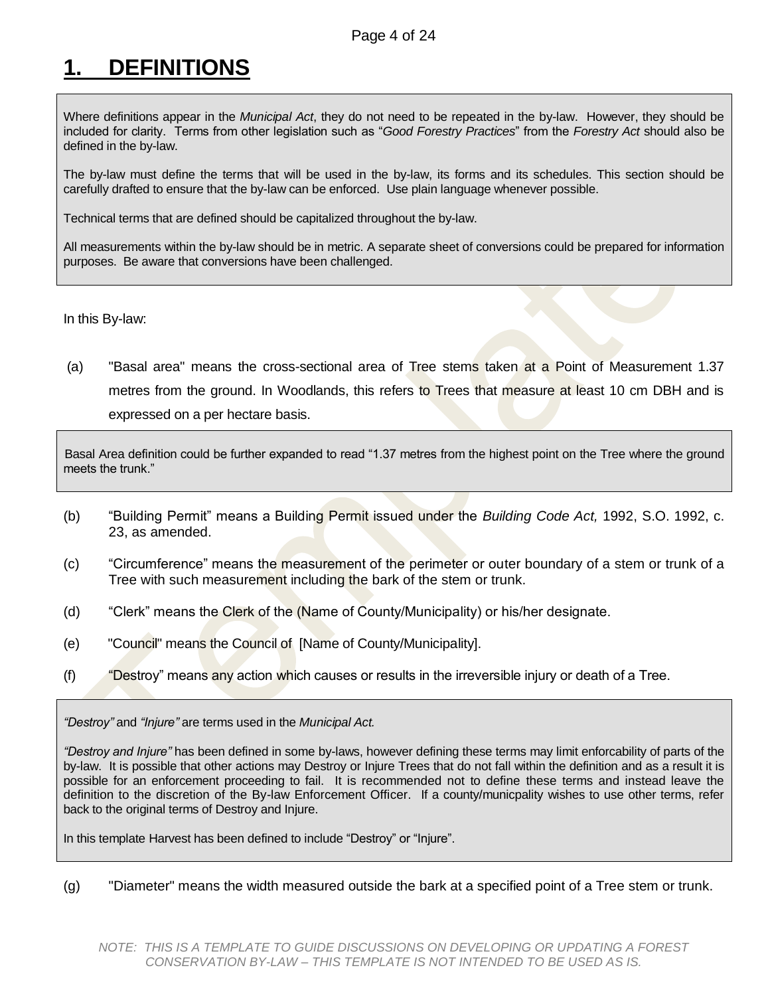# <span id="page-3-0"></span>**1. DEFINITIONS**

Where definitions appear in the *Municipal Act*, they do not need to be repeated in the by-law. However, they should be included for clarity. Terms from other legislation such as "*Good Forestry Practices*" from the *Forestry Act* should also be defined in the by-law.

The by-law must define the terms that will be used in the by-law, its forms and its schedules. This section should be carefully drafted to ensure that the by-law can be enforced. Use plain language whenever possible.

Technical terms that are defined should be capitalized throughout the by-law.

All measurements within the by-law should be in metric. A separate sheet of conversions could be prepared for information purposes. Be aware that conversions have been challenged.

In this By-law:

(a) "Basal area" means the cross-sectional area of Tree stems taken at a Point of Measurement 1.37 metres from the ground. In Woodlands, this refers to Trees that measure at least 10 cm DBH and is expressed on a per hectare basis.

Basal Area definition could be further expanded to read "1.37 metres from the highest point on the Tree where the ground meets the trunk."

- (b) "Building Permit" means a Building Permit issued under the *Building Code Act,* 1992, S.O. 1992, c. 23, as amended.
- (c) "Circumference" means the measurement of the perimeter or outer boundary of a stem or trunk of a Tree with such measurement including the bark of the stem or trunk.
- (d) "Clerk" means the Clerk of the (Name of County/Municipality) or his/her designate.
- (e) "Council" means the Council of [Name of County/Municipality].
- (f) "Destroy" means any action which causes or results in the irreversible injury or death of a Tree.

*"Destroy"* and *"Injure"* are terms used in the *Municipal Act.* 

*"Destroy and Injure"* has been defined in some by-laws, however defining these terms may limit enforcability of parts of the by-law. It is possible that other actions may Destroy or Injure Trees that do not fall within the definition and as a result it is possible for an enforcement proceeding to fail. It is recommended not to define these terms and instead leave the definition to the discretion of the By-law Enforcement Officer. If a county/municpality wishes to use other terms, refer back to the original terms of Destroy and Injure.

In this template Harvest has been defined to include "Destroy" or "Injure".

(g) "Diameter" means the width measured outside the bark at a specified point of a Tree stem or trunk.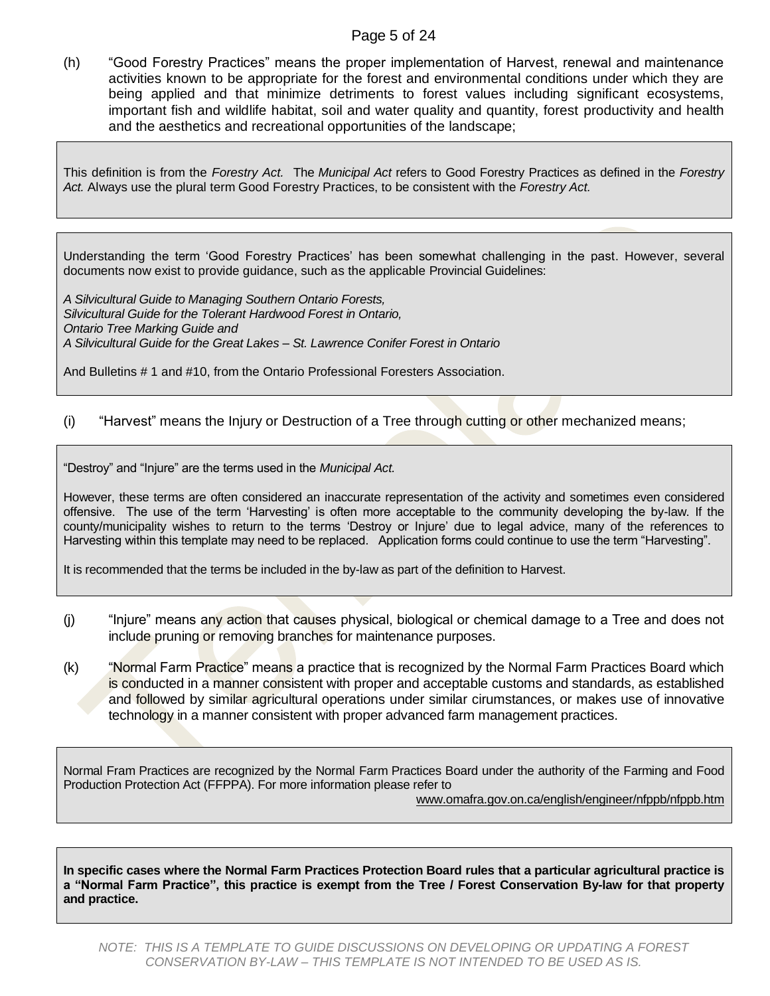#### Page 5 of 24

(h) "Good Forestry Practices" means the proper implementation of Harvest, renewal and maintenance activities known to be appropriate for the forest and environmental conditions under which they are being applied and that minimize detriments to forest values including significant ecosystems, important fish and wildlife habitat, soil and water quality and quantity, forest productivity and health and the aesthetics and recreational opportunities of the landscape;

This definition is from the *Forestry Act.* The *Municipal Act* refers to Good Forestry Practices as defined in the *Forestry Act.* Always use the plural term Good Forestry Practices, to be consistent with the *Forestry Act.*

Understanding the term 'Good Forestry Practices' has been somewhat challenging in the past. However, several documents now exist to provide guidance, such as the applicable Provincial Guidelines:

*A Silvicultural Guide to Managing Southern Ontario Forests, Silvicultural Guide for the Tolerant Hardwood Forest in Ontario, Ontario Tree Marking Guide and A Silvicultural Guide for the Great Lakes – St. Lawrence Conifer Forest in Ontario*

And Bulletins # 1 and #10, from the Ontario Professional Foresters Association.

#### (i) "Harvest" means the Injury or Destruction of a Tree through cutting or other mechanized means;

"Destroy" and "Injure" are the terms used in the *Municipal Act.* 

However, these terms are often considered an inaccurate representation of the activity and sometimes even considered offensive. The use of the term 'Harvesting' is often more acceptable to the community developing the by-law. If the county/municipality wishes to return to the terms 'Destroy or Injure' due to legal advice, many of the references to Harvesting within this template may need to be replaced. Application forms could continue to use the term "Harvesting".

It is recommended that the terms be included in the by-law as part of the definition to Harvest.

- (j) "Injure" means any action that causes physical, biological or chemical damage to a Tree and does not include pruning or removing branches for maintenance purposes.
- (k) "Normal Farm Practice" means a practice that is recognized by the Normal Farm Practices Board which is conducted in a manner consistent with proper and acceptable customs and standards, as established and followed by similar agricultural operations under similar cirumstances, or makes use of innovative technology in a manner consistent with proper advanced farm management practices.

Normal Fram Practices are recognized by the Normal Farm Practices Board under the authority of the Farming and Food Production Protection Act (FFPPA). For more information please refer to [www.omafra.gov.on.ca/english/engineer/nfppb/nfppb.htm](http://www.omafra.gov.on.ca/english/engineer/nfppb/nfppb.htm)

**In specific cases where the Normal Farm Practices Protection Board rules that a particular agricultural practice is a "Normal Farm Practice", this practice is exempt from the Tree / Forest Conservation By-law for that property and practice.**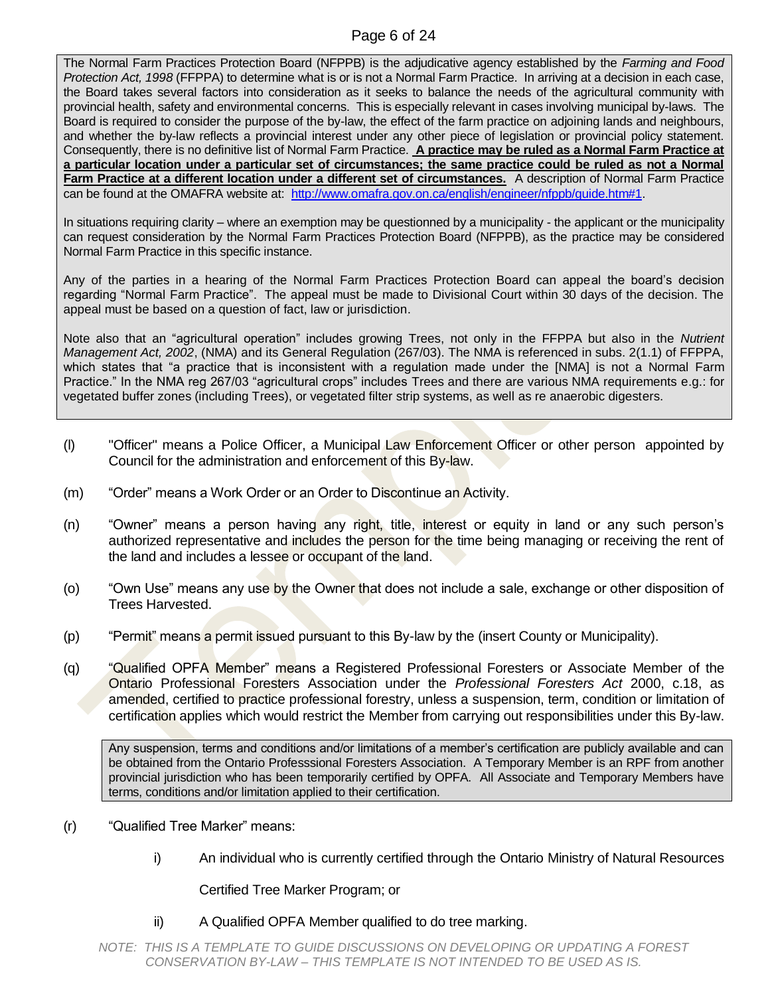#### Page 6 of 24

The Normal Farm Practices Protection Board (NFPPB) is the adjudicative agency established by the *Farming and Food Protection Act, 1998* (FFPPA) to determine what is or is not a Normal Farm Practice. In arriving at a decision in each case, the Board takes several factors into consideration as it seeks to balance the needs of the agricultural community with provincial health, safety and environmental concerns. This is especially relevant in cases involving municipal by-laws. The Board is required to consider the purpose of the by-law, the effect of the farm practice on adjoining lands and neighbours, and whether the by-law reflects a provincial interest under any other piece of legislation or provincial policy statement. Consequently, there is no definitive list of Normal Farm Practice. **A practice may be ruled as a Normal Farm Practice at a particular location under a particular set of circumstances; the same practice could be ruled as not a Normal Farm Practice at a different location under a different set of circumstances.** A description of Normal Farm Practice can be found at the OMAFRA website at: [http://www.omafra.gov.on.ca/english/engineer/nfppb/guide.htm#1.](http://www.omafra.gov.on.ca/english/engineer/nfppb/guide.htm#1)

In situations requiring clarity – where an exemption may be questionned by a municipality - the applicant or the municipality can request consideration by the Normal Farm Practices Protection Board (NFPPB), as the practice may be considered Normal Farm Practice in this specific instance.

Any of the parties in a hearing of the Normal Farm Practices Protection Board can appeal the board's decision regarding "Normal Farm Practice". The appeal must be made to Divisional Court within 30 days of the decision. The appeal must be based on a question of fact, law or jurisdiction.

Note also that an "agricultural operation" includes growing Trees, not only in the FFPPA but also in the *Nutrient Management Act, 2002*, (NMA) and its General Regulation (267/03). The NMA is referenced in subs. 2(1.1) of FFPPA, which states that "a practice that is inconsistent with a regulation made under the [NMA] is not a Normal Farm Practice." In the NMA reg 267/03 "agricultural crops" includes Trees and there are various NMA requirements e.g.: for vegetated buffer zones (including Trees), or vegetated filter strip systems, as well as re anaerobic digesters.

- (l) "Officer" means a Police Officer, a Municipal Law Enforcement Officer or other person appointed by Council for the administration and enforcement of this By-law.
- (m) "Order" means a Work Order or an Order to Discontinue an Activity.
- (n) "Owner" means a person having any right, title, interest or equity in land or any such person's authorized representative and includes the person for the time being managing or receiving the rent of the land and includes a lessee or occupant of the land.
- (o) "Own Use" means any use by the Owner that does not include a sale, exchange or other disposition of Trees Harvested.
- (p) "Permit" means a permit issued pursuant to this By-law by the (insert County or Municipality).
- (q) "Qualified OPFA Member" means a Registered Professional Foresters or Associate Member of the Ontario Professional Foresters Association under the *Professional Foresters Act* 2000, c.18, as amended, certified to practice professional forestry, unless a suspension, term, condition or limitation of certification applies which would restrict the Member from carrying out responsibilities under this By-law.

Any suspension, terms and conditions and/or limitations of a member's certification are publicly available and can be obtained from the Ontario Professsional Foresters Association. A Temporary Member is an RPF from another provincial jurisdiction who has been temporarily certified by OPFA. All Associate and Temporary Members have terms, conditions and/or limitation applied to their certification.

- (r) "Qualified Tree Marker" means:
	- i) An individual who is currently certified through the Ontario Ministry of Natural Resources

Certified Tree Marker Program; or

ii) A Qualified OPFA Member qualified to do tree marking.

*NOTE: THIS IS A TEMPLATE TO GUIDE DISCUSSIONS ON DEVELOPING OR UPDATING A FOREST CONSERVATION BY-LAW – THIS TEMPLATE IS NOT INTENDED TO BE USED AS IS.*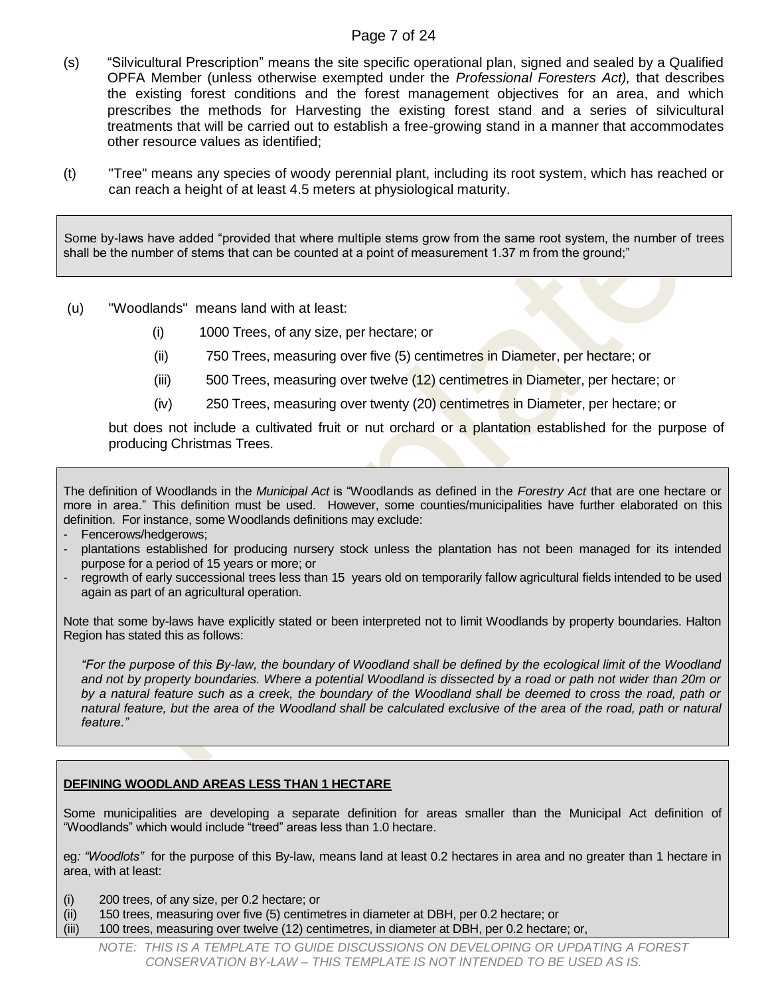#### Page 7 of 24

- (s) "Silvicultural Prescription" means the site specific operational plan, signed and sealed by a Qualified OPFA Member (unless otherwise exempted under the *Professional Foresters Act),* that describes the existing forest conditions and the forest management objectives for an area, and which prescribes the methods for Harvesting the existing forest stand and a series of silvicultural treatments that will be carried out to establish a free-growing stand in a manner that accommodates other resource values as identified;
- (t) "Tree" means any species of woody perennial plant, including its root system, which has reached or can reach a height of at least 4.5 meters at physiological maturity.

Some by-laws have added "provided that where multiple stems grow from the same root system, the number of trees shall be the number of stems that can be counted at a point of measurement 1.37 m from the ground;"

- (u) "Woodlands" means land with at least:
	- (i) 1000 Trees, of any size, per hectare; or
	- (ii) 750 Trees, measuring over five (5) centimetres in Diameter, per hectare; or
	- (iii) 500 Trees, measuring over twelve (12) centimetres in Diameter, per hectare; or
	- (iv) 250 Trees, measuring over twenty (20) centimetres in Diameter, per hectare; or

but does not include a cultivated fruit or nut orchard or a plantation established for the purpose of producing Christmas Trees.

The definition of Woodlands in the *Municipal Act* is "Woodlands as defined in the *Forestry Act* that are one hectare or more in area." This definition must be used. However, some counties/municipalities have further elaborated on this definition. For instance, some Woodlands definitions may exclude:

- Fencerows/hedgerows;
- plantations established for producing nursery stock unless the plantation has not been managed for its intended purpose for a period of 15 years or more; or
- regrowth of early successional trees less than 15 years old on temporarily fallow agricultural fields intended to be used again as part of an agricultural operation.

Note that some by-laws have explicitly stated or been interpreted not to limit Woodlands by property boundaries. Halton Region has stated this as follows:

*"For the purpose of this By-law, the boundary of Woodland shall be defined by the ecological limit of the Woodland*  and not by property boundaries. Where a potential Woodland is dissected by a road or path not wider than 20m or *by a natural feature such as a creek, the boundary of the Woodland shall be deemed to cross the road, path or natural feature, but the area of the Woodland shall be calculated exclusive of the area of the road, path or natural feature."*

#### **DEFINING WOODLAND AREAS LESS THAN 1 HECTARE**

Some municipalities are developing a separate definition for areas smaller than the Municipal Act definition of "Woodlands" which would include "treed" areas less than 1.0 hectare.

eg*: "Woodlots"* for the purpose of this By-law, means land at least 0.2 hectares in area and no greater than 1 hectare in area, with at least:

- (i) 200 trees, of any size, per 0.2 hectare; or
- (ii) 150 trees, measuring over five (5) centimetres in diameter at DBH, per 0.2 hectare; or
- (iii) 100 trees, measuring over twelve (12) centimetres, in diameter at DBH, per 0.2 hectare; or,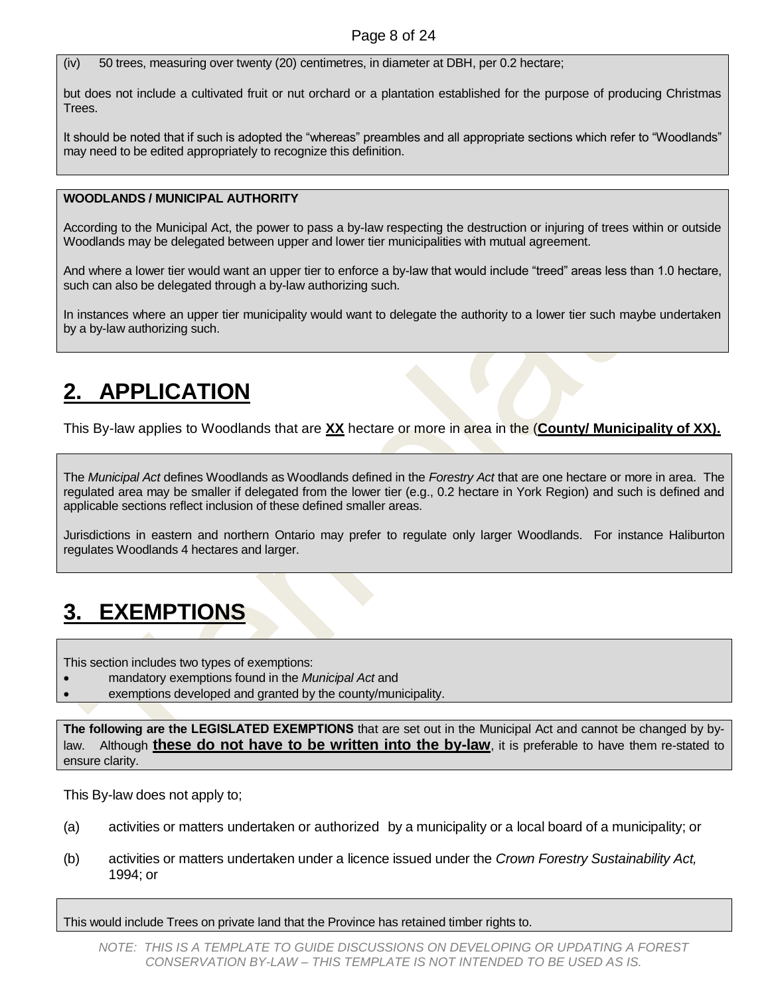(iv) 50 trees, measuring over twenty (20) centimetres, in diameter at DBH, per 0.2 hectare;

but does not include a cultivated fruit or nut orchard or a plantation established for the purpose of producing Christmas **Trees** 

It should be noted that if such is adopted the "whereas" preambles and all appropriate sections which refer to "Woodlands" may need to be edited appropriately to recognize this definition.

#### **WOODLANDS / MUNICIPAL AUTHORITY**

According to the Municipal Act, the power to pass a by-law respecting the destruction or injuring of trees within or outside Woodlands may be delegated between upper and lower tier municipalities with mutual agreement.

And where a lower tier would want an upper tier to enforce a by-law that would include "treed" areas less than 1.0 hectare, such can also be delegated through a by-law authorizing such.

In instances where an upper tier municipality would want to delegate the authority to a lower tier such maybe undertaken by a by-law authorizing such.

## <span id="page-7-0"></span>**2. APPLICATION**

This By-law applies to Woodlands that are **XX** hectare or more in area in the (**County/ Municipality of XX).**

The *Municipal Act* defines Woodlands as Woodlands defined in the *Forestry Act* that are one hectare or more in area. The regulated area may be smaller if delegated from the lower tier (e.g., 0.2 hectare in York Region) and such is defined and applicable sections reflect inclusion of these defined smaller areas.

Jurisdictions in eastern and northern Ontario may prefer to regulate only larger Woodlands. For instance Haliburton regulates Woodlands 4 hectares and larger.

## <span id="page-7-1"></span>**3. EXEMPTIONS**

This section includes two types of exemptions:

- mandatory exemptions found in the *Municipal Act* and
- exemptions developed and granted by the county/municipality.

**The following are the LEGISLATED EXEMPTIONS** that are set out in the Municipal Act and cannot be changed by bylaw. Although **these do not have to be written into the by-law**, it is preferable to have them re-stated to ensure clarity.

This By-law does not apply to;

- (a) activities or matters undertaken or authorized by a municipality or a local board of a municipality; or
- (b) activities or matters undertaken under a licence issued under the *Crown Forestry Sustainability Act,* 1994; or

This would include Trees on private land that the Province has retained timber rights to.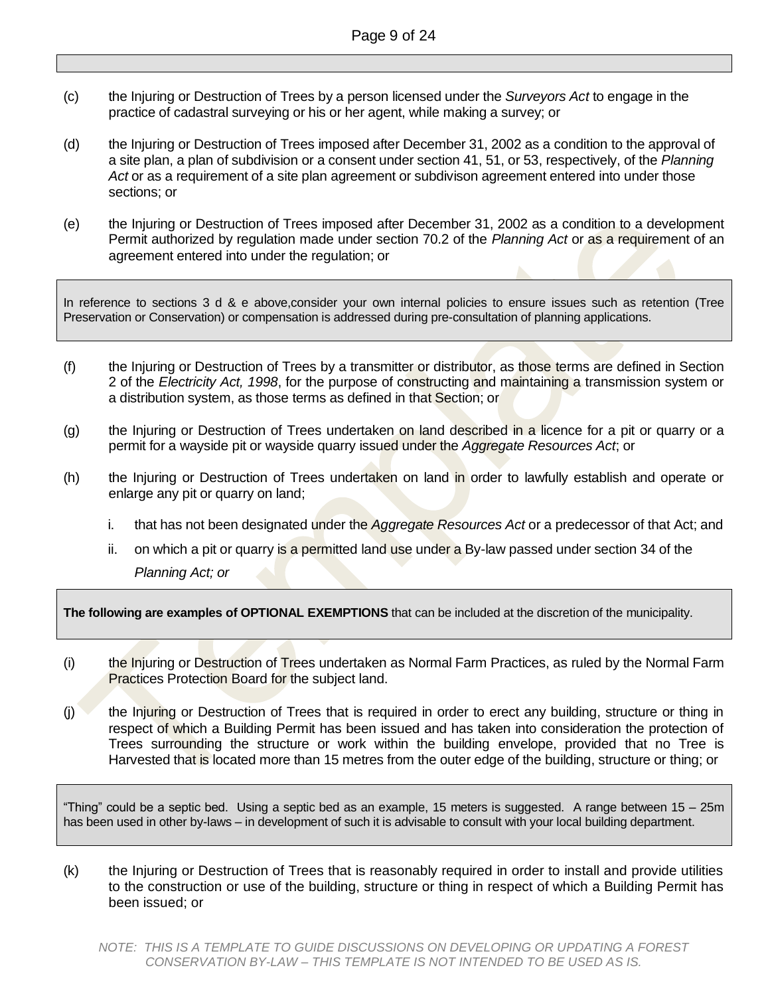- (c) the Injuring or Destruction of Trees by a person licensed under the *Surveyors Act* to engage in the practice of cadastral surveying or his or her agent, while making a survey; or
- (d) the Injuring or Destruction of Trees imposed after December 31, 2002 as a condition to the approval of a site plan, a plan of subdivision or a consent under section 41, 51, or 53, respectively, of the *Planning Act* or as a requirement of a site plan agreement or subdivison agreement entered into under those sections; or
- (e) the Injuring or Destruction of Trees imposed after December 31, 2002 as a condition to a development Permit authorized by regulation made under section 70.2 of the *Planning Act* or as a requirement of an agreement entered into under the regulation; or

In reference to sections 3 d & e above,consider your own internal policies to ensure issues such as retention (Tree Preservation or Conservation) or compensation is addressed during pre-consultation of planning applications.

- (f) the Injuring or Destruction of Trees by a transmitter or distributor, as those terms are defined in Section 2 of the *Electricity Act, 1998*, for the purpose of constructing and maintaining a transmission system or a distribution system, as those terms as defined in that Section; or
- (g) the Injuring or Destruction of Trees undertaken on land described in a licence for a pit or quarry or a permit for a wayside pit or wayside quarry issued under the *Aggregate Resources Act*; or
- (h) the Injuring or Destruction of Trees undertaken on land in order to lawfully establish and operate or enlarge any pit or quarry on land;
	- i. that has not been designated under the *Aggregate Resources Act* or a predecessor of that Act; and
	- ii. on which a pit or quarry is a permitted land use under a By-law passed under section 34 of the *Planning Act; or*

**The following are examples of OPTIONAL EXEMPTIONS** that can be included at the discretion of the municipality.

- (i) the Injuring or Destruction of Trees undertaken as Normal Farm Practices, as ruled by the Normal Farm Practices Protection Board for the subject land.
- (j) the Injuring or Destruction of Trees that is required in order to erect any building, structure or thing in respect of which a Building Permit has been issued and has taken into consideration the protection of Trees surrounding the structure or work within the building envelope, provided that no Tree is Harvested that is located more than 15 metres from the outer edge of the building, structure or thing; or

"Thing" could be a septic bed. Using a septic bed as an example, 15 meters is suggested. A range between 15 – 25m has been used in other by-laws – in development of such it is advisable to consult with your local building department.

(k) the Injuring or Destruction of Trees that is reasonably required in order to install and provide utilities to the construction or use of the building, structure or thing in respect of which a Building Permit has been issued; or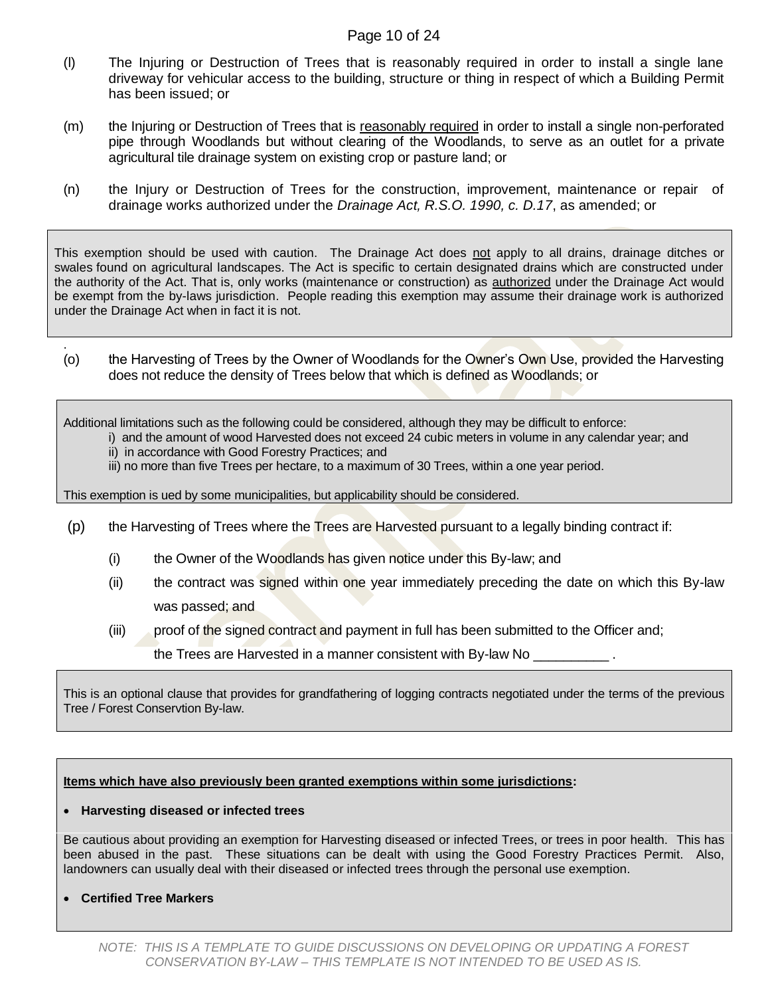#### Page 10 of 24

- (l) The Injuring or Destruction of Trees that is reasonably required in order to install a single lane driveway for vehicular access to the building, structure or thing in respect of which a Building Permit has been issued; or
- (m) the Injuring or Destruction of Trees that is reasonably required in order to install a single non-perforated pipe through Woodlands but without clearing of the Woodlands, to serve as an outlet for a private agricultural tile drainage system on existing crop or pasture land; or
- (n) the Injury or Destruction of Trees for the construction, improvement, maintenance or repair of drainage works authorized under the *Drainage Act, R.S.O. 1990, c. D.17*, as amended; or

This exemption should be used with caution. The Drainage Act does not apply to all drains, drainage ditches or swales found on agricultural landscapes. The Act is specific to certain designated drains which are constructed under the authority of the Act. That is, only works (maintenance or construction) as authorized under the Drainage Act would be exempt from the by-laws jurisdiction. People reading this exemption may assume their drainage work is authorized under the Drainage Act when in fact it is not.

. (o) the Harvesting of Trees by the Owner of Woodlands for the Owner's Own Use, provided the Harvesting does not reduce the density of Trees below that which is defined as Woodlands; or

Additional limitations such as the following could be considered, although they may be difficult to enforce:

- i) and the amount of wood Harvested does not exceed 24 cubic meters in volume in any calendar year; and
- ii) in accordance with Good Forestry Practices; and
- iii) no more than five Trees per hectare, to a maximum of 30 Trees, within a one year period.

This exemption is ued by some municipalities, but applicability should be considered.

- $(p)$  the Harvesting of Trees where the Trees are Harvested pursuant to a legally binding contract if:
	- (i) the Owner of the Woodlands has given notice under this By-law; and
	- (ii) the contract was signed within one year immediately preceding the date on which this By-law was passed; and
	- (iii) proof of the signed contract and payment in full has been submitted to the Officer and;

the Trees are Harvested in a manner consistent with By-law No  $\_$ 

This is an optional clause that provides for grandfathering of logging contracts negotiated under the terms of the previous Tree / Forest Conservtion By-law.

#### **Items which have also previously been granted exemptions within some jurisdictions:**

#### **Harvesting diseased or infected trees**

Be cautious about providing an exemption for Harvesting diseased or infected Trees, or trees in poor health. This has been abused in the past. These situations can be dealt with using the Good Forestry Practices Permit. Also, landowners can usually deal with their diseased or infected trees through the personal use exemption.

**Certified Tree Markers**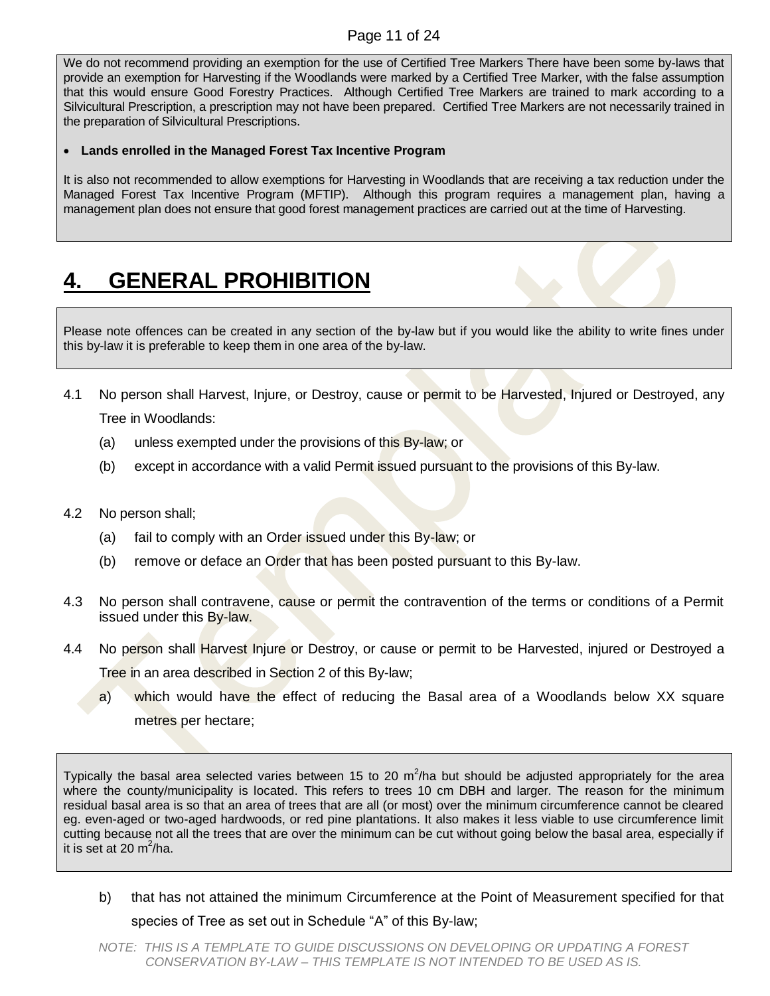#### Page 11 of 24

We do not recommend providing an exemption for the use of Certified Tree Markers There have been some by-laws that provide an exemption for Harvesting if the Woodlands were marked by a Certified Tree Marker, with the false assumption that this would ensure Good Forestry Practices. Although Certified Tree Markers are trained to mark according to a Silvicultural Prescription, a prescription may not have been prepared. Certified Tree Markers are not necessarily trained in the preparation of Silvicultural Prescriptions.

#### **Lands enrolled in the Managed Forest Tax Incentive Program**

It is also not recommended to allow exemptions for Harvesting in Woodlands that are receiving a tax reduction under the Managed Forest Tax Incentive Program (MFTIP). Although this program requires a management plan, having a management plan does not ensure that good forest management practices are carried out at the time of Harvesting.

## <span id="page-10-0"></span>**4. GENERAL PROHIBITION**

Please note offences can be created in any section of the by-law but if you would like the ability to write fines under this by-law it is preferable to keep them in one area of the by-law.

4.1 No person shall Harvest, Injure, or Destroy, cause or permit to be Harvested, Injured or Destroyed, any

Tree in Woodlands:

- (a) unless exempted under the provisions of this By-law; or
- (b) except in accordance with a valid Permit issued pursuant to the provisions of this By-law.
- 4.2 No person shall;
	- (a) fail to comply with an Order issued under this By-law; or
	- (b) remove or deface an Order that has been posted pursuant to this By-law.
- 4.3 No person shall contravene, cause or permit the contravention of the terms or conditions of a Permit issued under this By-law.
- 4.4 No person shall Harvest Injure or Destroy, or cause or permit to be Harvested, injured or Destroyed a Tree in an area described in Section 2 of this By-law;
	- a) which would have the effect of reducing the Basal area of a Woodlands below XX square metres per hectare;

Typically the basal area selected varies between 15 to 20 m<sup>2</sup>/ha but should be adjusted appropriately for the area where the county/municipality is located. This refers to trees 10 cm DBH and larger. The reason for the minimum residual basal area is so that an area of trees that are all (or most) over the minimum circumference cannot be cleared eg. even-aged or two-aged hardwoods, or red pine plantations. It also makes it less viable to use circumference limit cutting because not all the trees that are over the minimum can be cut without going below the basal area, especially if it is set at 20  $m^2/ha$ .

b) that has not attained the minimum Circumference at the Point of Measurement specified for that

species of Tree as set out in Schedule "A" of this By-law;

*NOTE: THIS IS A TEMPLATE TO GUIDE DISCUSSIONS ON DEVELOPING OR UPDATING A FOREST CONSERVATION BY-LAW – THIS TEMPLATE IS NOT INTENDED TO BE USED AS IS.*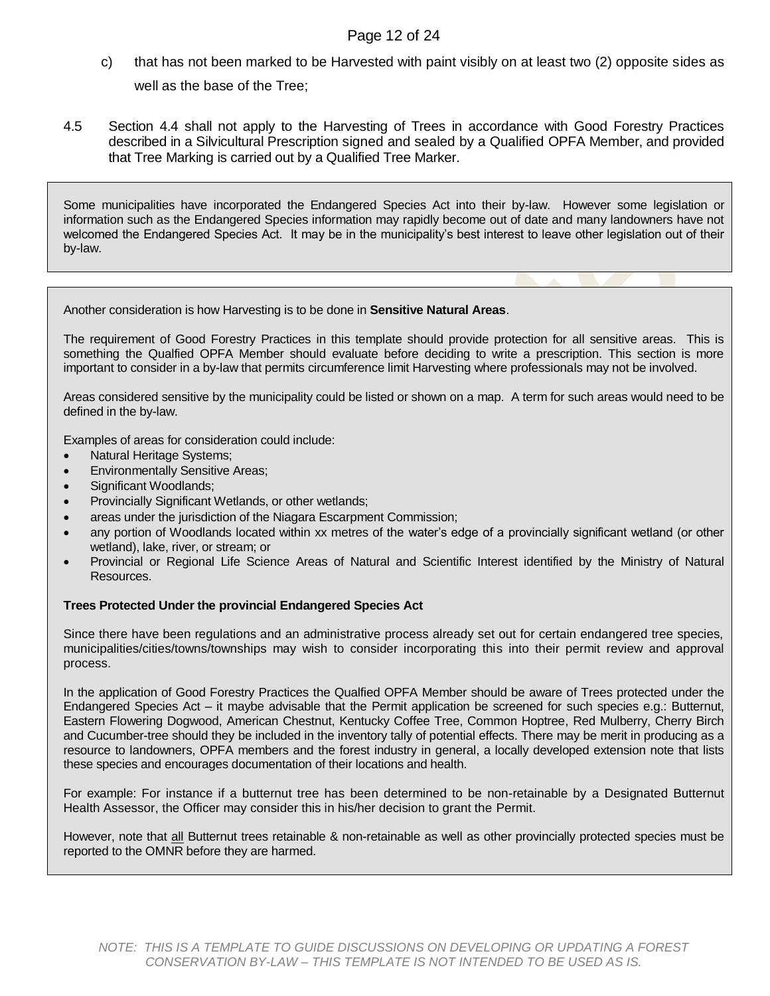#### Page 12 of 24

- c) that has not been marked to be Harvested with paint visibly on at least two (2) opposite sides as well as the base of the Tree;
- 4.5 Section 4.4 shall not apply to the Harvesting of Trees in accordance with Good Forestry Practices described in a Silvicultural Prescription signed and sealed by a Qualified OPFA Member, and provided that Tree Marking is carried out by a Qualified Tree Marker.

Some municipalities have incorporated the Endangered Species Act into their by-law. However some legislation or information such as the Endangered Species information may rapidly become out of date and many landowners have not welcomed the Endangered Species Act. It may be in the municipality's best interest to leave other legislation out of their by-law.

Another consideration is how Harvesting is to be done in **Sensitive Natural Areas**.

The requirement of Good Forestry Practices in this template should provide protection for all sensitive areas. This is something the Qualfied OPFA Member should evaluate before deciding to write a prescription. This section is more important to consider in a by-law that permits circumference limit Harvesting where professionals may not be involved.

Areas considered sensitive by the municipality could be listed or shown on a map. A term for such areas would need to be defined in the by-law.

Examples of areas for consideration could include:

- Natural Heritage Systems;
- Environmentally Sensitive Areas;
- Significant Woodlands;
- Provincially Significant Wetlands, or other wetlands;
- areas under the jurisdiction of the Niagara Escarpment Commission;
- any portion of Woodlands located within xx metres of the water's edge of a provincially significant wetland (or other wetland), lake, river, or stream; or
- Provincial or Regional Life Science Areas of Natural and Scientific Interest identified by the Ministry of Natural Resources.

#### **Trees Protected Under the provincial Endangered Species Act**

Since there have been regulations and an administrative process already set out for certain endangered tree species, municipalities/cities/towns/townships may wish to consider incorporating this into their permit review and approval process.

In the application of Good Forestry Practices the Qualfied OPFA Member should be aware of Trees protected under the Endangered Species Act – it maybe advisable that the Permit application be screened for such species e.g.: Butternut, Eastern Flowering Dogwood, American Chestnut, Kentucky Coffee Tree, Common Hoptree, Red Mulberry, Cherry Birch and Cucumber-tree should they be included in the inventory tally of potential effects. There may be merit in producing as a resource to landowners, OPFA members and the forest industry in general, a locally developed extension note that lists these species and encourages documentation of their locations and health.

For example: For instance if a butternut tree has been determined to be non-retainable by a Designated Butternut Health Assessor, the Officer may consider this in his/her decision to grant the Permit.

However, note that all Butternut trees retainable & non-retainable as well as other provincially protected species must be reported to the OMNR before they are harmed.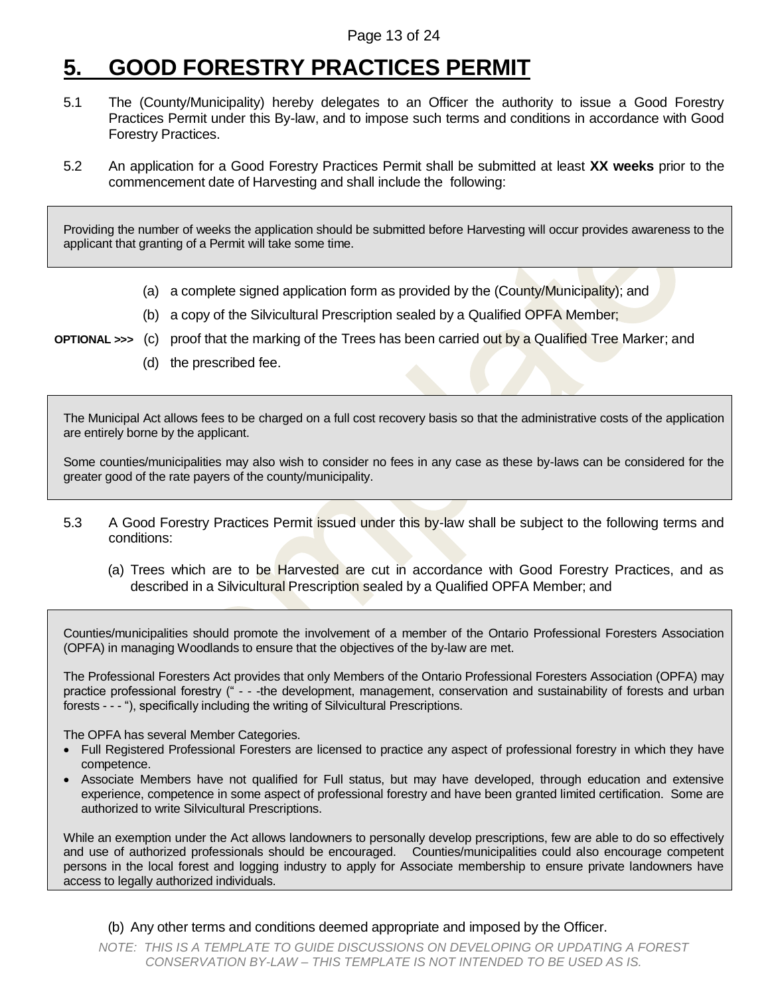### <span id="page-12-0"></span>**5. GOOD FORESTRY PRACTICES PERMIT**

- 5.1 The (County/Municipality) hereby delegates to an Officer the authority to issue a Good Forestry Practices Permit under this By-law, and to impose such terms and conditions in accordance with Good Forestry Practices.
- 5.2 An application for a Good Forestry Practices Permit shall be submitted at least **XX weeks** prior to the commencement date of Harvesting and shall include the following:

Providing the number of weeks the application should be submitted before Harvesting will occur provides awareness to the applicant that granting of a Permit will take some time.

- (a) a complete signed application form as provided by the (County/Municipality); and
- (b) a copy of the Silvicultural Prescription sealed by a Qualified OPFA Member;
- **OPTIONAL >>>** (c) proof that the marking of the Trees has been carried out by a Qualified Tree Marker; and
	- (d) the prescribed fee.

The Municipal Act allows fees to be charged on a full cost recovery basis so that the administrative costs of the application are entirely borne by the applicant.

Some counties/municipalities may also wish to consider no fees in any case as these by-laws can be considered for the greater good of the rate payers of the county/municipality.

- 5.3 A Good Forestry Practices Permit issued under this by-law shall be subject to the following terms and conditions:
	- (a) Trees which are to be Harvested are cut in accordance with Good Forestry Practices, and as described in a Silvicultural Prescription sealed by a Qualified OPFA Member; and

Counties/municipalities should promote the involvement of a member of the Ontario Professional Foresters Association (OPFA) in managing Woodlands to ensure that the objectives of the by-law are met.

The Professional Foresters Act provides that only Members of the Ontario Professional Foresters Association (OPFA) may practice professional forestry (" - - -the development, management, conservation and sustainability of forests and urban forests - - - "), specifically including the writing of Silvicultural Prescriptions.

The OPFA has several Member Categories.

- Full Registered Professional Foresters are licensed to practice any aspect of professional forestry in which they have competence.
- Associate Members have not qualified for Full status, but may have developed, through education and extensive experience, competence in some aspect of professional forestry and have been granted limited certification. Some are authorized to write Silvicultural Prescriptions.

While an exemption under the Act allows landowners to personally develop prescriptions, few are able to do so effectively and use of authorized professionals should be encouraged. Counties/municipalities could also encourage competent persons in the local forest and logging industry to apply for Associate membership to ensure private landowners have access to legally authorized individuals.

(b) Any other terms and conditions deemed appropriate and imposed by the Officer.

*NOTE: THIS IS A TEMPLATE TO GUIDE DISCUSSIONS ON DEVELOPING OR UPDATING A FOREST CONSERVATION BY-LAW – THIS TEMPLATE IS NOT INTENDED TO BE USED AS IS.*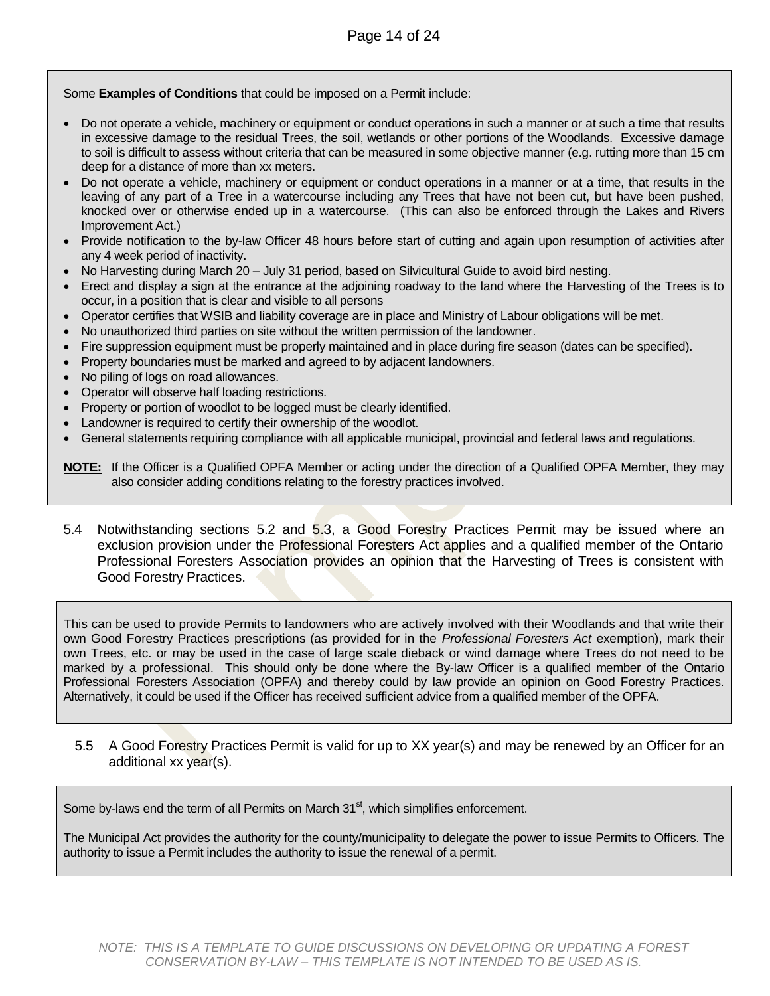Some **Examples of Conditions** that could be imposed on a Permit include:

- Do not operate a vehicle, machinery or equipment or conduct operations in such a manner or at such a time that results in excessive damage to the residual Trees, the soil, wetlands or other portions of the Woodlands. Excessive damage to soil is difficult to assess without criteria that can be measured in some objective manner (e.g. rutting more than 15 cm deep for a distance of more than xx meters.
- Do not operate a vehicle, machinery or equipment or conduct operations in a manner or at a time, that results in the leaving of any part of a Tree in a watercourse including any Trees that have not been cut, but have been pushed, knocked over or otherwise ended up in a watercourse. (This can also be enforced through the Lakes and Rivers Improvement Act.)
- Provide notification to the by-law Officer 48 hours before start of cutting and again upon resumption of activities after any 4 week period of inactivity.
- No Harvesting during March 20 July 31 period, based on Silvicultural Guide to avoid bird nesting.
- Erect and display a sign at the entrance at the adjoining roadway to the land where the Harvesting of the Trees is to occur, in a position that is clear and visible to all persons
- Operator certifies that WSIB and liability coverage are in place and Ministry of Labour obligations will be met.
- No unauthorized third parties on site without the written permission of the landowner.
- Fire suppression equipment must be properly maintained and in place during fire season (dates can be specified).
- Property boundaries must be marked and agreed to by adjacent landowners.
- No piling of logs on road allowances.
- Operator will observe half loading restrictions.
- Property or portion of woodlot to be logged must be clearly identified.
- Landowner is required to certify their ownership of the woodlot.
- General statements requiring compliance with all applicable municipal, provincial and federal laws and regulations.

| NOTE: If the Officer is a Qualified OPFA Member or acting under the direction of a Qualified OPFA Member, they may |  |
|--------------------------------------------------------------------------------------------------------------------|--|
| also consider adding conditions relating to the forestry practices involved.                                       |  |

5.4 Notwithstanding sections 5.2 and 5.3, a Good Forestry Practices Permit may be issued where an exclusion provision under the Professional Foresters Act applies and a qualified member of the Ontario Professional Foresters Association provides an opinion that the Harvesting of Trees is consistent with Good Forestry Practices.

This can be used to provide Permits to landowners who are actively involved with their Woodlands and that write their own Good Forestry Practices prescriptions (as provided for in the *Professional Foresters Act* exemption), mark their own Trees, etc. or may be used in the case of large scale dieback or wind damage where Trees do not need to be marked by a professional. This should only be done where the By-law Officer is a qualified member of the Ontario Professional Foresters Association (OPFA) and thereby could by law provide an opinion on Good Forestry Practices. Alternatively, it could be used if the Officer has received sufficient advice from a qualified member of the OPFA.

5.5 A Good Forestry Practices Permit is valid for up to XX year(s) and may be renewed by an Officer for an additional xx year(s).

Some by-laws end the term of all Permits on March  $31<sup>st</sup>$ , which simplifies enforcement.

The Municipal Act provides the authority for the county/municipality to delegate the power to issue Permits to Officers. The authority to issue a Permit includes the authority to issue the renewal of a permit.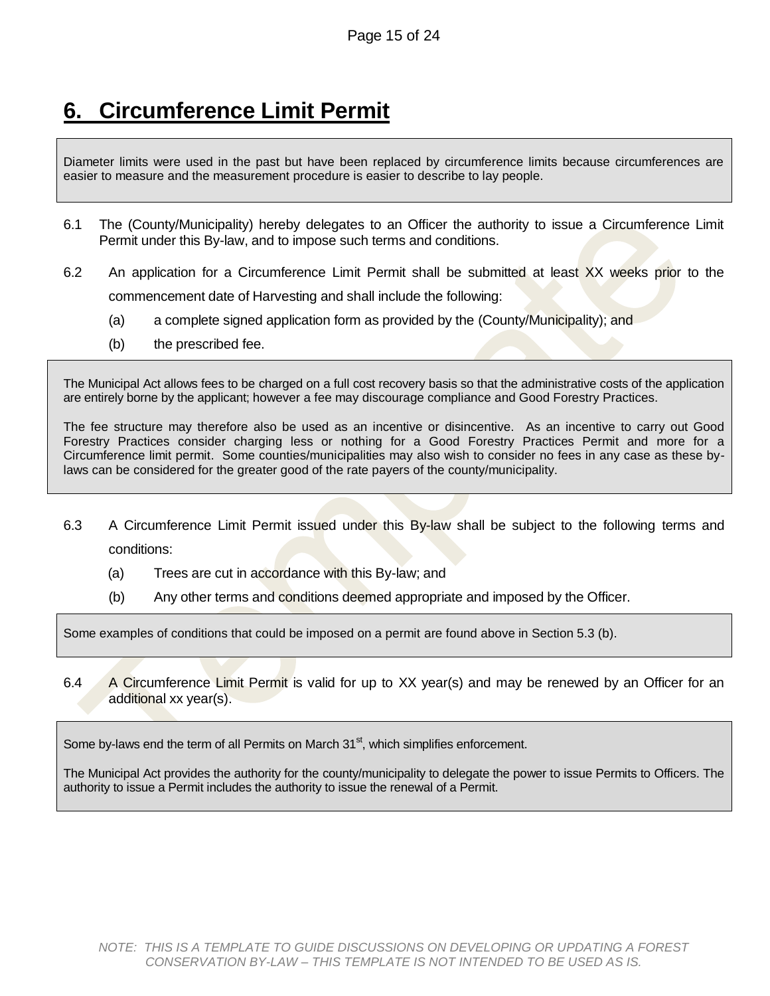### <span id="page-14-0"></span>**6. Circumference Limit Permit**

Diameter limits were used in the past but have been replaced by circumference limits because circumferences are easier to measure and the measurement procedure is easier to describe to lay people.

- 6.1 The (County/Municipality) hereby delegates to an Officer the authority to issue a Circumference Limit Permit under this By-law, and to impose such terms and conditions.
- 6.2 An application for a Circumference Limit Permit shall be submitted at least XX weeks prior to the commencement date of Harvesting and shall include the following:
	- (a) a complete signed application form as provided by the (County/Municipality); and
	- (b) the prescribed fee.

The Municipal Act allows fees to be charged on a full cost recovery basis so that the administrative costs of the application are entirely borne by the applicant; however a fee may discourage compliance and Good Forestry Practices.

The fee structure may therefore also be used as an incentive or disincentive. As an incentive to carry out Good Forestry Practices consider charging less or nothing for a Good Forestry Practices Permit and more for a Circumference limit permit. Some counties/municipalities may also wish to consider no fees in any case as these bylaws can be considered for the greater good of the rate payers of the county/municipality.

- 6.3 A Circumference Limit Permit issued under this By-law shall be subject to the following terms and conditions:
	- (a) Trees are cut in accordance with this By-law; and
	- (b) Any other terms and conditions deemed appropriate and imposed by the Officer.

Some examples of conditions that could be imposed on a permit are found above in Section 5.3 (b).

6.4 A Circumference Limit Permit is valid for up to XX year(s) and may be renewed by an Officer for an additional xx year(s).

Some by-laws end the term of all Permits on March  $31<sup>st</sup>$ , which simplifies enforcement.

<span id="page-14-1"></span>The Municipal Act provides the authority for the county/municipality to delegate the power to issue Permits to Officers. The authority to issue a Permit includes the authority to issue the renewal of a Permit.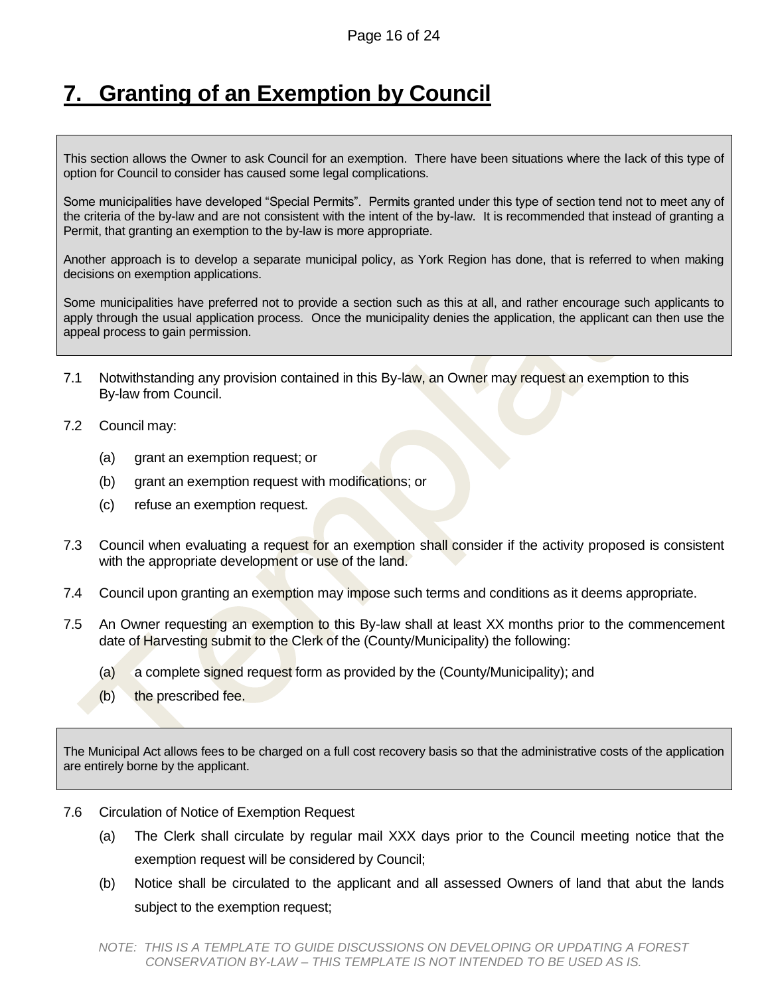### **7. Granting of an Exemption by Council**

This section allows the Owner to ask Council for an exemption. There have been situations where the lack of this type of option for Council to consider has caused some legal complications.

Some municipalities have developed "Special Permits". Permits granted under this type of section tend not to meet any of the criteria of the by-law and are not consistent with the intent of the by-law. It is recommended that instead of granting a Permit, that granting an exemption to the by-law is more appropriate.

Another approach is to develop a separate municipal policy, as York Region has done, that is referred to when making decisions on exemption applications.

Some municipalities have preferred not to provide a section such as this at all, and rather encourage such applicants to apply through the usual application process. Once the municipality denies the application, the applicant can then use the appeal process to gain permission.

- 7.1 Notwithstanding any provision contained in this By-law, an Owner may request an exemption to this By-law from Council.
- 7.2 Council may:
	- (a) grant an exemption request; or
	- (b) grant an exemption request with modifications; or
	- (c) refuse an exemption request.
- 7.3 Council when evaluating a request for an exemption shall consider if the activity proposed is consistent with the appropriate development or use of the land.
- 7.4 Council upon granting an exemption may impose such terms and conditions as it deems appropriate.
- 7.5 An Owner requesting an exemption to this By-law shall at least XX months prior to the commencement date of Harvesting submit to the Clerk of the (County/Municipality) the following:
	- (a) a complete signed request form as provided by the (County/Municipality); and
	- (b) the prescribed fee.

The Municipal Act allows fees to be charged on a full cost recovery basis so that the administrative costs of the application are entirely borne by the applicant.

- 7.6 Circulation of Notice of Exemption Request
	- (a) The Clerk shall circulate by regular mail XXX days prior to the Council meeting notice that the exemption request will be considered by Council;
	- (b) Notice shall be circulated to the applicant and all assessed Owners of land that abut the lands subject to the exemption request;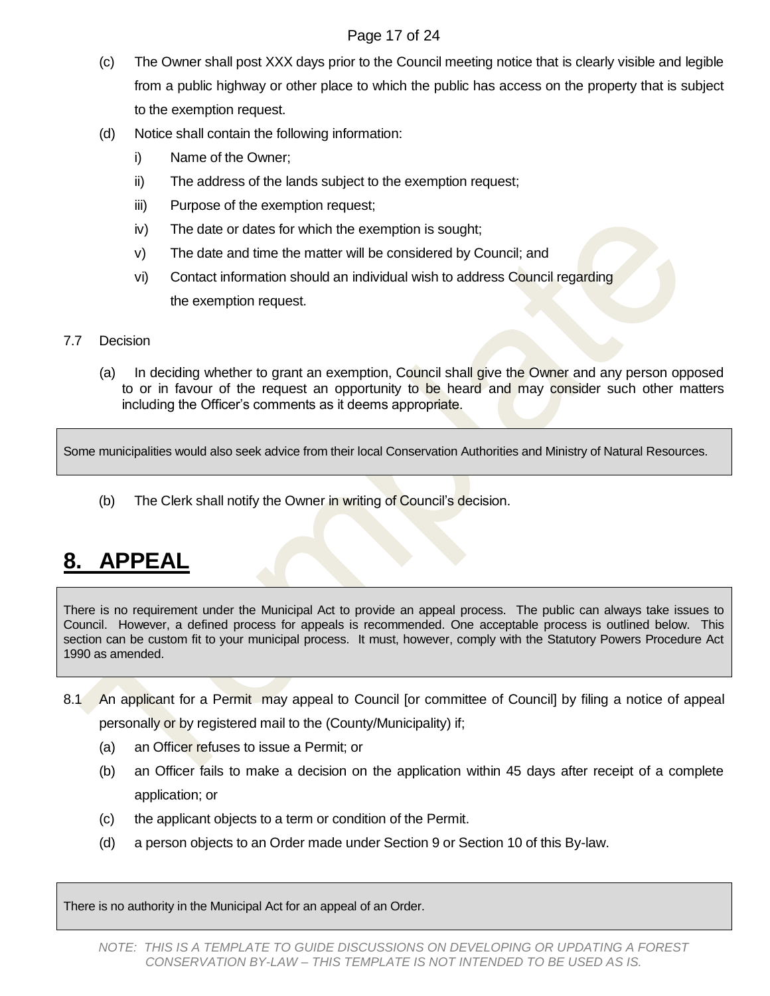#### Page 17 of 24

- (c) The Owner shall post XXX days prior to the Council meeting notice that is clearly visible and legible from a public highway or other place to which the public has access on the property that is subject to the exemption request.
- (d) Notice shall contain the following information:
	- i) Name of the Owner;
	- ii) The address of the lands subject to the exemption request;
	- iii) Purpose of the exemption request;
	- iv) The date or dates for which the exemption is sought;
	- v) The date and time the matter will be considered by Council; and
	- vi) Contact information should an individual wish to address Council regarding the exemption request.
- 7.7 Decision
	- (a) In deciding whether to grant an exemption, Council shall give the Owner and any person opposed to or in favour of the request an opportunity to be heard and may consider such other matters including the Officer's comments as it deems appropriate.

Some municipalities would also seek advice from their local Conservation Authorities and Ministry of Natural Resources.

(b) The Clerk shall notify the Owner in writing of Council's decision.

## <span id="page-16-0"></span>**8. APPEAL**

There is no requirement under the Municipal Act to provide an appeal process. The public can always take issues to Council. However, a defined process for appeals is recommended. One acceptable process is outlined below. This section can be custom fit to your municipal process. It must, however, comply with the Statutory Powers Procedure Act 1990 as amended.

- 8.1 An applicant for a Permit may appeal to Council [or committee of Council] by filing a notice of appeal personally or by registered mail to the (County/Municipality) if;
	- (a) an Officer refuses to issue a Permit; or
	- (b) an Officer fails to make a decision on the application within 45 days after receipt of a complete application; or
	- (c) the applicant objects to a term or condition of the Permit.
	- (d) a person objects to an Order made under Section 9 or Section 10 of this By-law.

There is no authority in the Municipal Act for an appeal of an Order.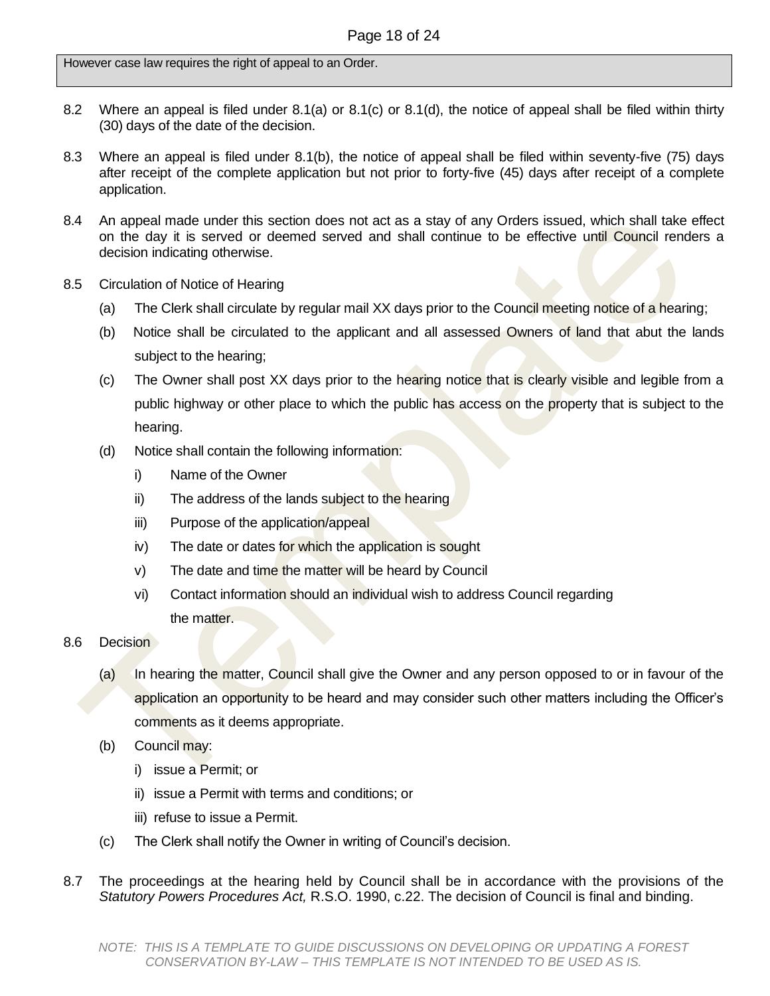However case law requires the right of appeal to an Order.

- 8.2 Where an appeal is filed under 8.1(a) or 8.1(c) or 8.1(d), the notice of appeal shall be filed within thirty (30) days of the date of the decision.
- 8.3 Where an appeal is filed under 8.1(b), the notice of appeal shall be filed within seventy-five (75) days after receipt of the complete application but not prior to forty-five (45) days after receipt of a complete application.
- 8.4 An appeal made under this section does not act as a stay of any Orders issued, which shall take effect on the day it is served or deemed served and shall continue to be effective until Council renders a decision indicating otherwise.
- 8.5 Circulation of Notice of Hearing
	- (a) The Clerk shall circulate by regular mail XX days prior to the Council meeting notice of a hearing;
	- (b) Notice shall be circulated to the applicant and all assessed Owners of land that abut the lands subject to the hearing;
	- (c) The Owner shall post XX days prior to the hearing notice that is clearly visible and legible from a public highway or other place to which the public has access on the property that is subject to the hearing.
	- (d) Notice shall contain the following information:
		- i) Name of the Owner
		- ii) The address of the lands subject to the hearing
		- iii) Purpose of the application/appeal
		- iv) The date or dates for which the application is sought
		- v) The date and time the matter will be heard by Council
		- vi) Contact information should an individual wish to address Council regarding the matter.
- 8.6 Decision
	- (a) In hearing the matter, Council shall give the Owner and any person opposed to or in favour of the application an opportunity to be heard and may consider such other matters including the Officer's comments as it deems appropriate.
	- (b) Council may:
		- i) issue a Permit; or
		- ii) issue a Permit with terms and conditions; or
		- iii) refuse to issue a Permit.
	- (c) The Clerk shall notify the Owner in writing of Council's decision.
- 8.7 The proceedings at the hearing held by Council shall be in accordance with the provisions of the *Statutory Powers Procedures Act,* R.S.O. 1990, c.22. The decision of Council is final and binding.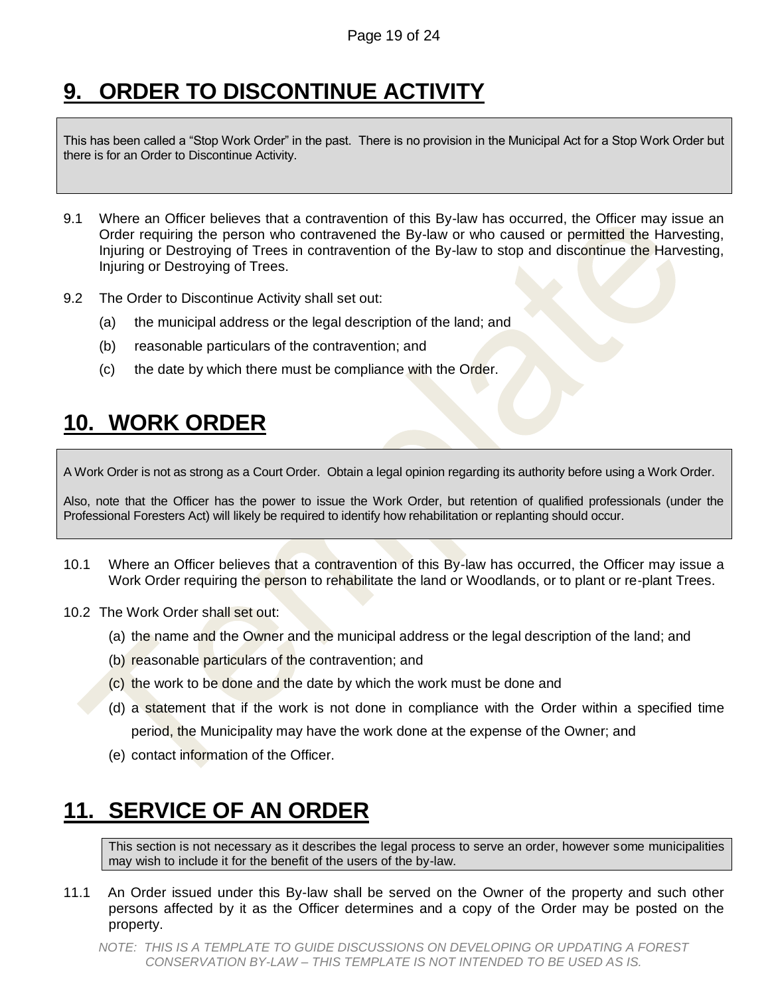# <span id="page-18-0"></span>**9. ORDER TO DISCONTINUE ACTIVITY**

This has been called a "Stop Work Order" in the past. There is no provision in the Municipal Act for a Stop Work Order but there is for an Order to Discontinue Activity.

- 9.1 Where an Officer believes that a contravention of this By-law has occurred, the Officer may issue an Order requiring the person who contravened the By-law or who caused or permitted the Harvesting, Injuring or Destroying of Trees in contravention of the By-law to stop and discontinue the Harvesting, Injuring or Destroying of Trees.
- 9.2 The Order to Discontinue Activity shall set out:
	- (a) the municipal address or the legal description of the land; and
	- (b) reasonable particulars of the contravention; and
	- $(c)$  the date by which there must be compliance with the Order.

## <span id="page-18-1"></span>**10. WORK ORDER**

A Work Order is not as strong as a Court Order. Obtain a legal opinion regarding its authority before using a Work Order.

Also, note that the Officer has the power to issue the Work Order, but retention of qualified professionals (under the Professional Foresters Act) will likely be required to identify how rehabilitation or replanting should occur.

- 10.1 Where an Officer believes that a contravention of this By-law has occurred, the Officer may issue a Work Order requiring the person to rehabilitate the land or Woodlands, or to plant or re-plant Trees.
- 10.2 The Work Order shall set out:
	- (a) the name and the Owner and the municipal address or the legal description of the land; and
	- (b) reasonable particulars of the contravention; and
	- (c) the work to be done and the date by which the work must be done and
	- (d) a statement that if the work is not done in compliance with the Order within a specified time period, the Municipality may have the work done at the expense of the Owner; and
	- (e) contact information of the Officer.

### <span id="page-18-2"></span>**11. SERVICE OF AN ORDER**

This section is not necessary as it describes the legal process to serve an order, however some municipalities may wish to include it for the benefit of the users of the by-law.

11.1 An Order issued under this By-law shall be served on the Owner of the property and such other persons affected by it as the Officer determines and a copy of the Order may be posted on the property.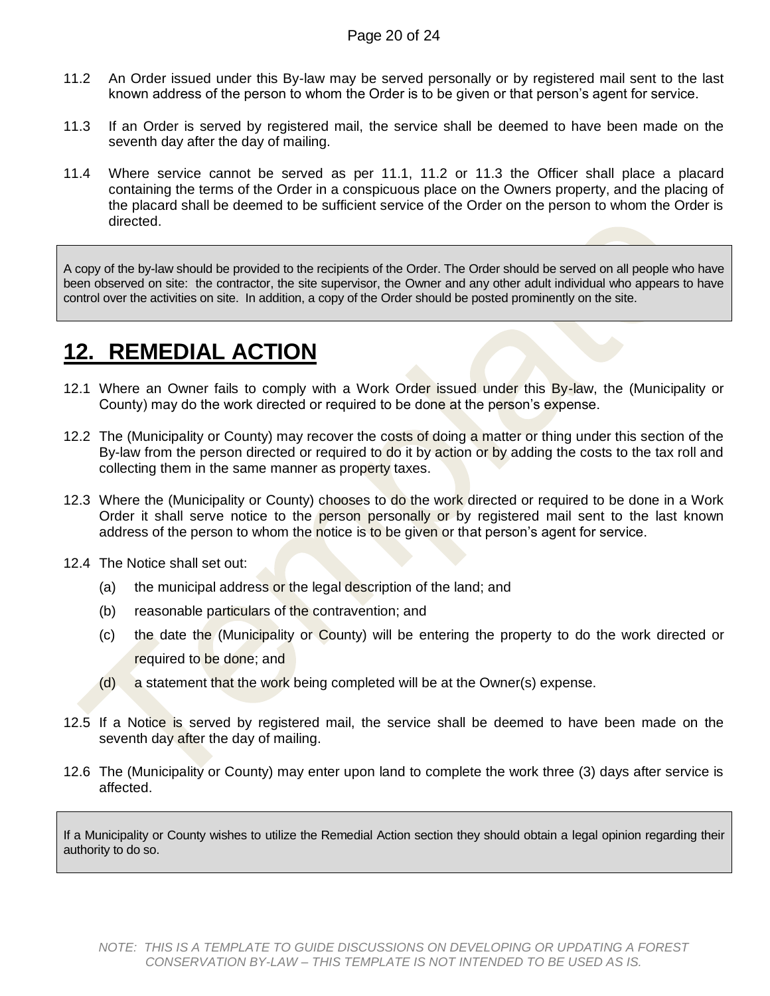- 11.2 An Order issued under this By-law may be served personally or by registered mail sent to the last known address of the person to whom the Order is to be given or that person's agent for service.
- 11.3 If an Order is served by registered mail, the service shall be deemed to have been made on the seventh day after the day of mailing.
- 11.4 Where service cannot be served as per 11.1, 11.2 or 11.3 the Officer shall place a placard containing the terms of the Order in a conspicuous place on the Owners property, and the placing of the placard shall be deemed to be sufficient service of the Order on the person to whom the Order is directed.

A copy of the by-law should be provided to the recipients of the Order. The Order should be served on all people who have been observed on site: the contractor, the site supervisor, the Owner and any other adult individual who appears to have control over the activities on site. In addition, a copy of the Order should be posted prominently on the site.

### <span id="page-19-0"></span>**12. REMEDIAL ACTION**

- 12.1 Where an Owner fails to comply with a Work Order issued under this By-law, the (Municipality or County) may do the work directed or required to be done at the person's expense.
- 12.2 The (Municipality or County) may recover the costs of doing a matter or thing under this section of the By-law from the person directed or required to do it by action or by adding the costs to the tax roll and collecting them in the same manner as property taxes.
- 12.3 Where the (Municipality or County) chooses to do the work directed or required to be done in a Work Order it shall serve notice to the person personally or by registered mail sent to the last known address of the person to whom the notice is to be given or that person's agent for service.
- 12.4 The Notice shall set out:
	- (a) the municipal address or the legal description of the land; and
	- (b) reasonable particulars of the contravention; and
	- (c) the date the (Municipality or County) will be entering the property to do the work directed or required to be done; and
	- (d) a statement that the work being completed will be at the Owner(s) expense.
- 12.5 If a Notice is served by registered mail, the service shall be deemed to have been made on the seventh day after the day of mailing.
- 12.6 The (Municipality or County) may enter upon land to complete the work three (3) days after service is affected.

If a Municipality or County wishes to utilize the Remedial Action section they should obtain a legal opinion regarding their authority to do so.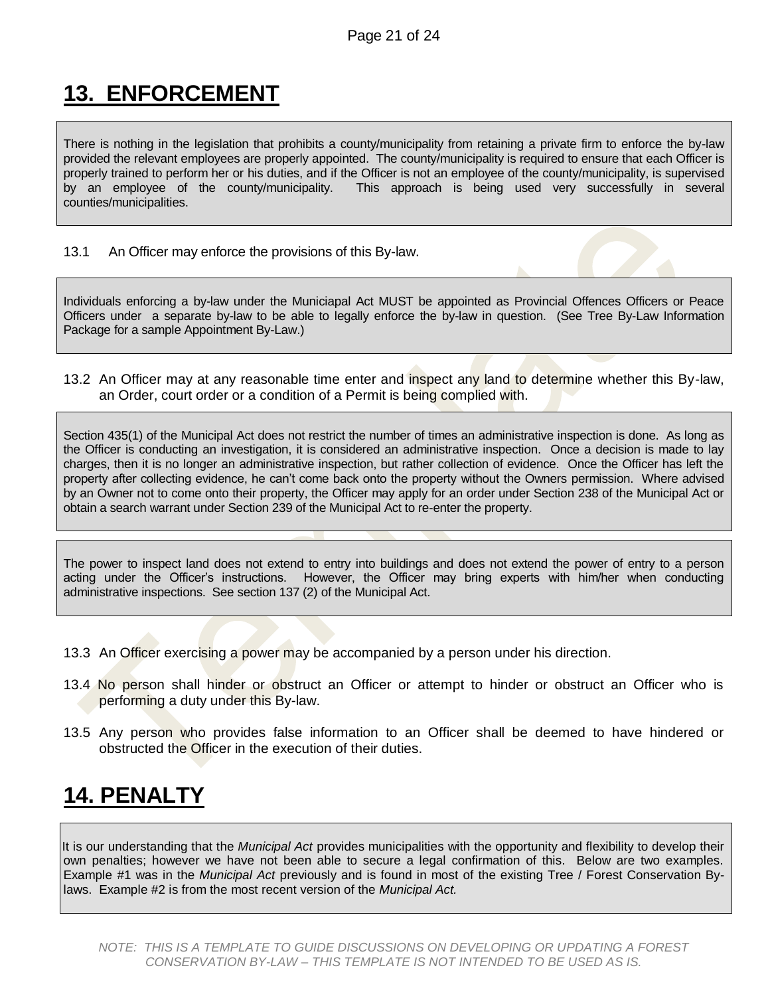# <span id="page-20-0"></span>**13. ENFORCEMENT**

There is nothing in the legislation that prohibits a county/municipality from retaining a private firm to enforce the by-law provided the relevant employees are properly appointed. The county/municipality is required to ensure that each Officer is properly trained to perform her or his duties, and if the Officer is not an employee of the county/municipality, is supervised by an employee of the county/municipality. This approach is being used very successfully in several counties/municipalities.

13.1 An Officer may enforce the provisions of this By-law.

Individuals enforcing a by-law under the Municiapal Act MUST be appointed as Provincial Offences Officers or Peace Officers under a separate by-law to be able to legally enforce the by-law in question. (See Tree By-Law Information Package for a sample Appointment By-Law.)

13.2 An Officer may at any reasonable time enter and inspect any land to determine whether this By-law, an Order, court order or a condition of a Permit is being complied with.

Section 435(1) of the Municipal Act does not restrict the number of times an administrative inspection is done. As long as the Officer is conducting an investigation, it is considered an administrative inspection. Once a decision is made to lay charges, then it is no longer an administrative inspection, but rather collection of evidence. Once the Officer has left the property after collecting evidence, he can't come back onto the property without the Owners permission. Where advised by an Owner not to come onto their property, the Officer may apply for an order under Section 238 of the Municipal Act or obtain a search warrant under Section 239 of the Municipal Act to re-enter the property.

The power to inspect land does not extend to entry into buildings and does not extend the power of entry to a person acting under the Officer's instructions. However, the Officer may bring experts with him/her when conducting administrative inspections. See section 137 (2) of the Municipal Act.

- 13.3 An Officer exercising a power may be accompanied by a person under his direction.
- 13.4 No person shall hinder or obstruct an Officer or attempt to hinder or obstruct an Officer who is performing a duty under this By-law.
- 13.5 Any person who provides false information to an Officer shall be deemed to have hindered or obstructed the Officer in the execution of their duties.

### <span id="page-20-1"></span>**14. PENALTY**

It is our understanding that the *Municipal Act* provides municipalities with the opportunity and flexibility to develop their own penalties; however we have not been able to secure a legal confirmation of this. Below are two examples. Example #1 was in the *Municipal Act* previously and is found in most of the existing Tree / Forest Conservation Bylaws. Example #2 is from the most recent version of the *Municipal Act.*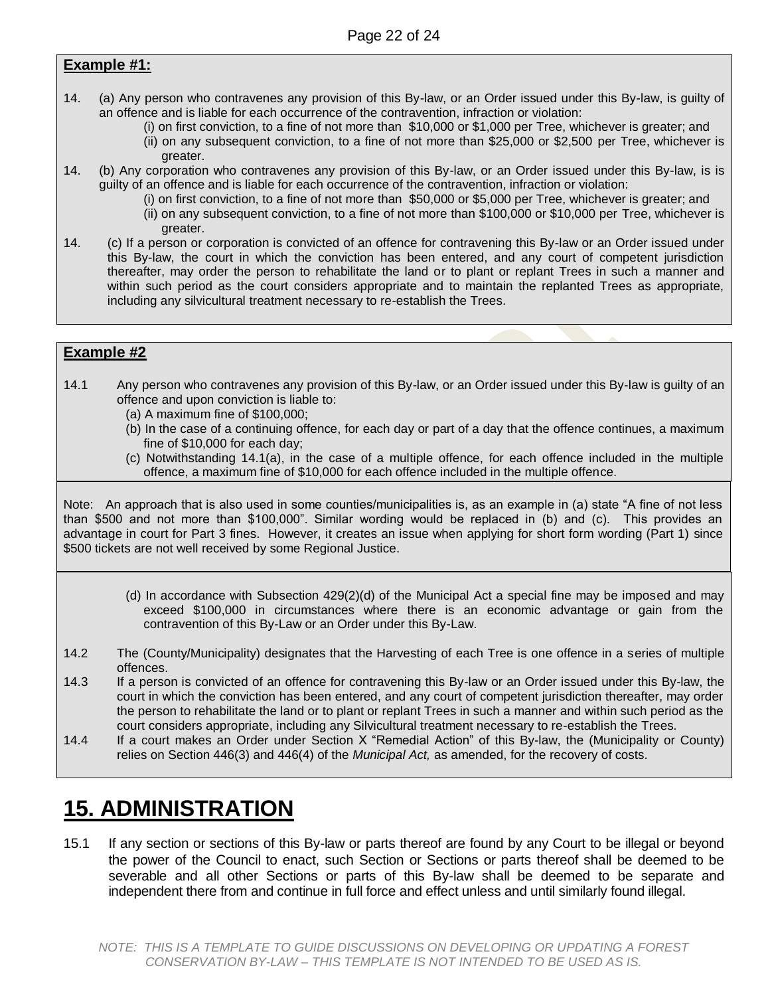#### **Example #1:**

- 14. (a) Any person who contravenes any provision of this By-law, or an Order issued under this By-law, is guilty of an offence and is liable for each occurrence of the contravention, infraction or violation:
	- (i) on first conviction, to a fine of not more than \$10,000 or \$1,000 per Tree, whichever is greater; and
	- (ii) on any subsequent conviction, to a fine of not more than \$25,000 or \$2,500 per Tree, whichever is greater.
- 14. (b) Any corporation who contravenes any provision of this By-law, or an Order issued under this By-law, is is guilty of an offence and is liable for each occurrence of the contravention, infraction or violation:
	- (i) on first conviction, to a fine of not more than \$50,000 or \$5,000 per Tree, whichever is greater; and (ii) on any subsequent conviction, to a fine of not more than \$100,000 or \$10,000 per Tree, whichever is
		- greater.
- 14. (c) If a person or corporation is convicted of an offence for contravening this By-law or an Order issued under this By-law, the court in which the conviction has been entered, and any court of competent jurisdiction thereafter, may order the person to rehabilitate the land or to plant or replant Trees in such a manner and within such period as the court considers appropriate and to maintain the replanted Trees as appropriate, including any silvicultural treatment necessary to re-establish the Trees.

#### **Example #2**

- 14.1 Any person who contravenes any provision of this By-law, or an Order issued under this By-law is guilty of an offence and upon conviction is liable to:
	- (a) A maximum fine of \$100,000;
	- (b) In the case of a continuing offence, for each day or part of a day that the offence continues, a maximum fine of \$10,000 for each day;
	- (c) Notwithstanding 14.1(a), in the case of a multiple offence, for each offence included in the multiple offence, a maximum fine of \$10,000 for each offence included in the multiple offence.

Note: An approach that is also used in some counties/municipalities is, as an example in (a) state "A fine of not less than \$500 and not more than \$100,000". Similar wording would be replaced in (b) and (c). This provides an advantage in court for Part 3 fines. However, it creates an issue when applying for short form wording (Part 1) since \$500 tickets are not well received by some Regional Justice.

- (d) In accordance with Subsection 429(2)(d) of the Municipal Act a special fine may be imposed and may exceed \$100,000 in circumstances where there is an economic advantage or gain from the contravention of this By-Law or an Order under this By-Law.
- 14.2 The (County/Municipality) designates that the Harvesting of each Tree is one offence in a series of multiple offences.
- 14.3 If a person is convicted of an offence for contravening this By-law or an Order issued under this By-law, the court in which the conviction has been entered, and any court of competent jurisdiction thereafter, may order the person to rehabilitate the land or to plant or replant Trees in such a manner and within such period as the court considers appropriate, including any Silvicultural treatment necessary to re-establish the Trees.
- 14.4 If a court makes an Order under Section X "Remedial Action" of this By-law, the (Municipality or County) relies on Section 446(3) and 446(4) of the *Municipal Act,* as amended, for the recovery of costs.

### <span id="page-21-0"></span>**15. ADMINISTRATION**

15.1 If any section or sections of this By-law or parts thereof are found by any Court to be illegal or beyond the power of the Council to enact, such Section or Sections or parts thereof shall be deemed to be severable and all other Sections or parts of this By-law shall be deemed to be separate and independent there from and continue in full force and effect unless and until similarly found illegal.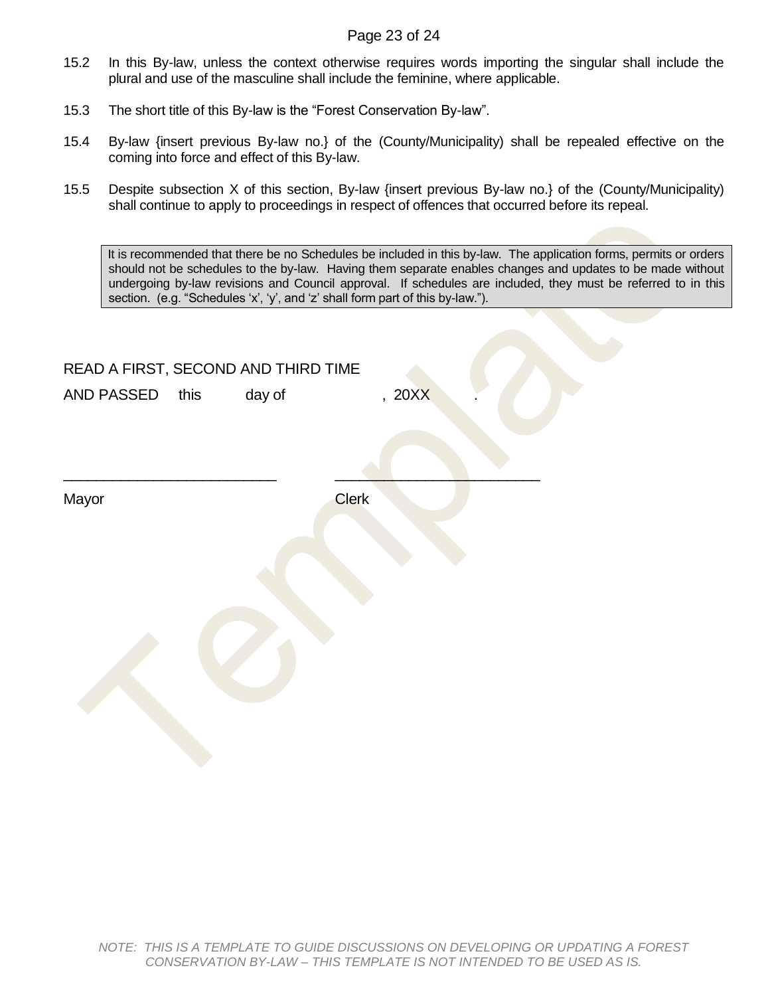#### Page 23 of 24

- 15.2 In this By-law, unless the context otherwise requires words importing the singular shall include the plural and use of the masculine shall include the feminine, where applicable.
- 15.3 The short title of this By-law is the "Forest Conservation By-law".
- 15.4 By-law {insert previous By-law no.} of the (County/Municipality) shall be repealed effective on the coming into force and effect of this By-law.
- 15.5 Despite subsection X of this section, By-law {insert previous By-law no.} of the (County/Municipality) shall continue to apply to proceedings in respect of offences that occurred before its repeal.

It is recommended that there be no Schedules be included in this by-law. The application forms, permits or orders should not be schedules to the by-law. Having them separate enables changes and updates to be made without undergoing by-law revisions and Council approval. If schedules are included, they must be referred to in this section. (e.g. "Schedules 'x', 'y', and 'z' shall form part of this by-law.").

| READ A FIRST, SECOND AND THIRD TIME |        |              |        |  |
|-------------------------------------|--------|--------------|--------|--|
| AND PASSED this                     | day of |              | , 20XX |  |
|                                     |        |              |        |  |
| Mayor                               |        | <b>Clerk</b> |        |  |
|                                     |        |              |        |  |